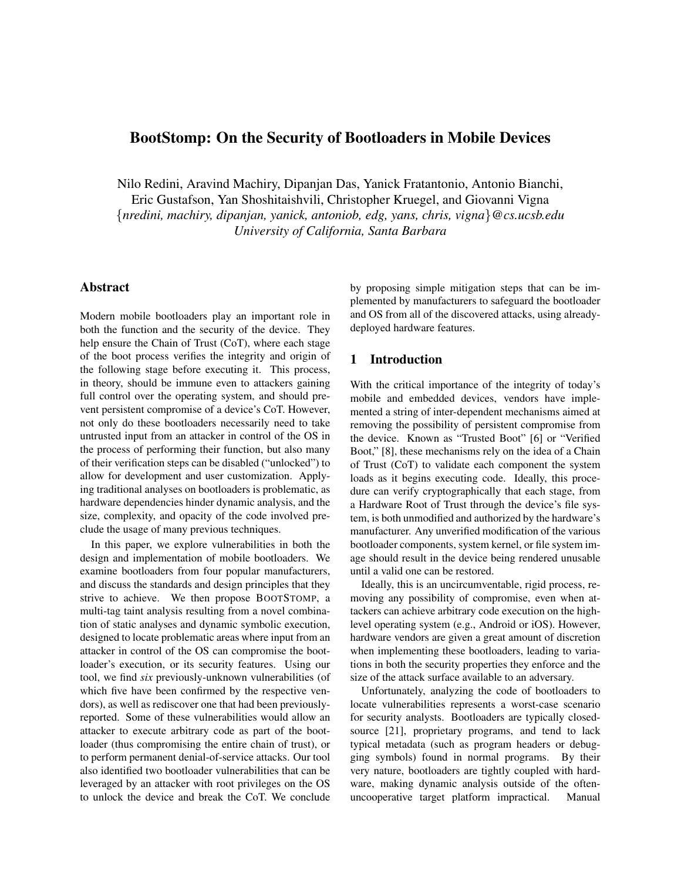# BootStomp: On the Security of Bootloaders in Mobile Devices

Nilo Redini, Aravind Machiry, Dipanjan Das, Yanick Fratantonio, Antonio Bianchi, Eric Gustafson, Yan Shoshitaishvili, Christopher Kruegel, and Giovanni Vigna {*nredini, machiry, dipanjan, yanick, antoniob, edg, yans, chris, vigna*}*@cs.ucsb.edu University of California, Santa Barbara*

# Abstract

Modern mobile bootloaders play an important role in both the function and the security of the device. They help ensure the Chain of Trust (CoT), where each stage of the boot process verifies the integrity and origin of the following stage before executing it. This process, in theory, should be immune even to attackers gaining full control over the operating system, and should prevent persistent compromise of a device's CoT. However, not only do these bootloaders necessarily need to take untrusted input from an attacker in control of the OS in the process of performing their function, but also many of their verification steps can be disabled ("unlocked") to allow for development and user customization. Applying traditional analyses on bootloaders is problematic, as hardware dependencies hinder dynamic analysis, and the size, complexity, and opacity of the code involved preclude the usage of many previous techniques.

In this paper, we explore vulnerabilities in both the design and implementation of mobile bootloaders. We examine bootloaders from four popular manufacturers, and discuss the standards and design principles that they strive to achieve. We then propose BOOTSTOMP, a multi-tag taint analysis resulting from a novel combination of static analyses and dynamic symbolic execution, designed to locate problematic areas where input from an attacker in control of the OS can compromise the bootloader's execution, or its security features. Using our tool, we find *six* previously-unknown vulnerabilities (of which five have been confirmed by the respective vendors), as well as rediscover one that had been previouslyreported. Some of these vulnerabilities would allow an attacker to execute arbitrary code as part of the bootloader (thus compromising the entire chain of trust), or to perform permanent denial-of-service attacks. Our tool also identified two bootloader vulnerabilities that can be leveraged by an attacker with root privileges on the OS to unlock the device and break the CoT. We conclude by proposing simple mitigation steps that can be implemented by manufacturers to safeguard the bootloader and OS from all of the discovered attacks, using alreadydeployed hardware features.

# 1 Introduction

With the critical importance of the integrity of today's mobile and embedded devices, vendors have implemented a string of inter-dependent mechanisms aimed at removing the possibility of persistent compromise from the device. Known as "Trusted Boot" [\[6\]](#page-16-0) or "Verified Boot," [\[8\]](#page-16-1), these mechanisms rely on the idea of a Chain of Trust (CoT) to validate each component the system loads as it begins executing code. Ideally, this procedure can verify cryptographically that each stage, from a Hardware Root of Trust through the device's file system, is both unmodified and authorized by the hardware's manufacturer. Any unverified modification of the various bootloader components, system kernel, or file system image should result in the device being rendered unusable until a valid one can be restored.

Ideally, this is an uncircumventable, rigid process, removing any possibility of compromise, even when attackers can achieve arbitrary code execution on the highlevel operating system (e.g., Android or iOS). However, hardware vendors are given a great amount of discretion when implementing these bootloaders, leading to variations in both the security properties they enforce and the size of the attack surface available to an adversary.

Unfortunately, analyzing the code of bootloaders to locate vulnerabilities represents a worst-case scenario for security analysts. Bootloaders are typically closedsource [\[21\]](#page-16-2), proprietary programs, and tend to lack typical metadata (such as program headers or debugging symbols) found in normal programs. By their very nature, bootloaders are tightly coupled with hardware, making dynamic analysis outside of the oftenuncooperative target platform impractical. Manual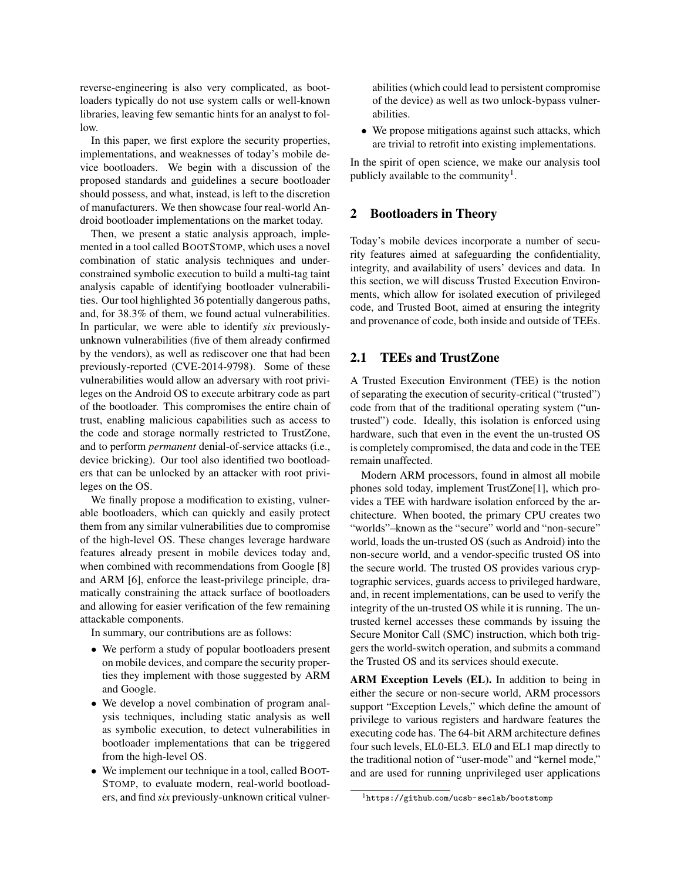reverse-engineering is also very complicated, as bootloaders typically do not use system calls or well-known libraries, leaving few semantic hints for an analyst to follow.

In this paper, we first explore the security properties, implementations, and weaknesses of today's mobile device bootloaders. We begin with a discussion of the proposed standards and guidelines a secure bootloader should possess, and what, instead, is left to the discretion of manufacturers. We then showcase four real-world Android bootloader implementations on the market today.

Then, we present a static analysis approach, implemented in a tool called BOOTSTOMP, which uses a novel combination of static analysis techniques and underconstrained symbolic execution to build a multi-tag taint analysis capable of identifying bootloader vulnerabilities. Our tool highlighted 36 potentially dangerous paths, and, for 38.3% of them, we found actual vulnerabilities. In particular, we were able to identify *six* previouslyunknown vulnerabilities (five of them already confirmed by the vendors), as well as rediscover one that had been previously-reported (CVE-2014-9798). Some of these vulnerabilities would allow an adversary with root privileges on the Android OS to execute arbitrary code as part of the bootloader. This compromises the entire chain of trust, enabling malicious capabilities such as access to the code and storage normally restricted to TrustZone, and to perform *permanent* denial-of-service attacks (i.e., device bricking). Our tool also identified two bootloaders that can be unlocked by an attacker with root privileges on the OS.

We finally propose a modification to existing, vulnerable bootloaders, which can quickly and easily protect them from any similar vulnerabilities due to compromise of the high-level OS. These changes leverage hardware features already present in mobile devices today and, when combined with recommendations from Google [\[8\]](#page-16-1) and ARM [\[6\]](#page-16-0), enforce the least-privilege principle, dramatically constraining the attack surface of bootloaders and allowing for easier verification of the few remaining attackable components.

In summary, our contributions are as follows:

- We perform a study of popular bootloaders present on mobile devices, and compare the security properties they implement with those suggested by ARM and Google.
- We develop a novel combination of program analysis techniques, including static analysis as well as symbolic execution, to detect vulnerabilities in bootloader implementations that can be triggered from the high-level OS.
- We implement our technique in a tool, called BOOT-STOMP, to evaluate modern, real-world bootloaders, and find *six* previously-unknown critical vulner-

abilities (which could lead to persistent compromise of the device) as well as two unlock-bypass vulnerabilities.

• We propose mitigations against such attacks, which are trivial to retrofit into existing implementations.

In the spirit of open science, we make our analysis tool publicly available to the community<sup>[1](#page-1-0)</sup>.

# <span id="page-1-1"></span>2 Bootloaders in Theory

Today's mobile devices incorporate a number of security features aimed at safeguarding the confidentiality, integrity, and availability of users' devices and data. In this section, we will discuss Trusted Execution Environments, which allow for isolated execution of privileged code, and Trusted Boot, aimed at ensuring the integrity and provenance of code, both inside and outside of TEEs.

# 2.1 TEEs and TrustZone

A Trusted Execution Environment (TEE) is the notion of separating the execution of security-critical ("trusted") code from that of the traditional operating system ("untrusted") code. Ideally, this isolation is enforced using hardware, such that even in the event the un-trusted OS is completely compromised, the data and code in the TEE remain unaffected.

Modern ARM processors, found in almost all mobile phones sold today, implement TrustZone[\[1\]](#page-16-3), which provides a TEE with hardware isolation enforced by the architecture. When booted, the primary CPU creates two "worlds"–known as the "secure" world and "non-secure" world, loads the un-trusted OS (such as Android) into the non-secure world, and a vendor-specific trusted OS into the secure world. The trusted OS provides various cryptographic services, guards access to privileged hardware, and, in recent implementations, can be used to verify the integrity of the un-trusted OS while it is running. The untrusted kernel accesses these commands by issuing the Secure Monitor Call (SMC) instruction, which both triggers the world-switch operation, and submits a command the Trusted OS and its services should execute.

ARM Exception Levels (EL). In addition to being in either the secure or non-secure world, ARM processors support "Exception Levels," which define the amount of privilege to various registers and hardware features the executing code has. The 64-bit ARM architecture defines four such levels, EL0-EL3. EL0 and EL1 map directly to the traditional notion of "user-mode" and "kernel mode," and are used for running unprivileged user applications

<span id="page-1-0"></span><sup>1</sup>https://github.[com/ucsb-seclab/bootstomp](https://github.com/ucsb-seclab/bootstomp)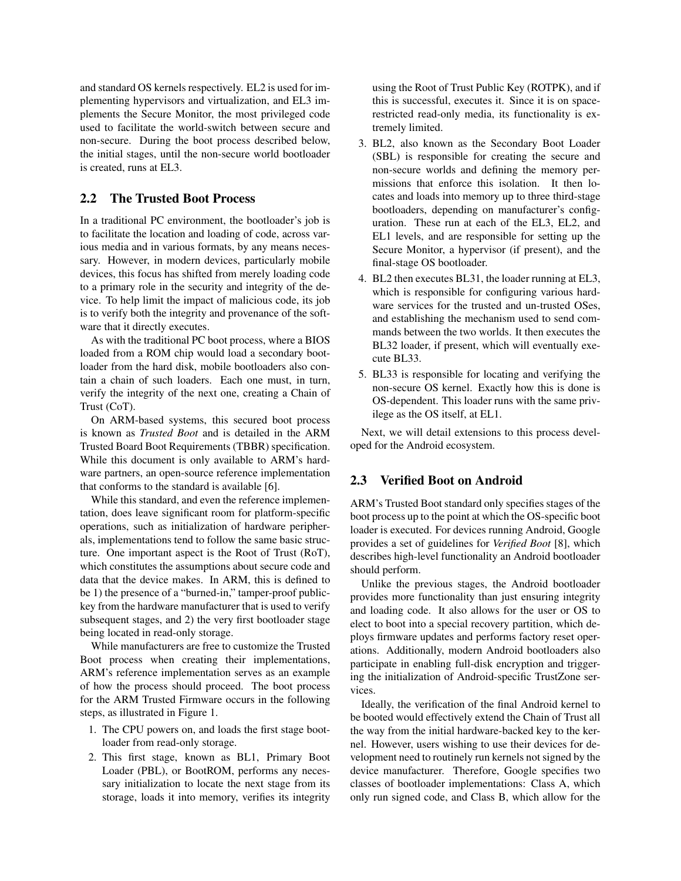and standard OS kernels respectively. EL2 is used for implementing hypervisors and virtualization, and EL3 implements the Secure Monitor, the most privileged code used to facilitate the world-switch between secure and non-secure. During the boot process described below, the initial stages, until the non-secure world bootloader is created, runs at EL3.

# 2.2 The Trusted Boot Process

In a traditional PC environment, the bootloader's job is to facilitate the location and loading of code, across various media and in various formats, by any means necessary. However, in modern devices, particularly mobile devices, this focus has shifted from merely loading code to a primary role in the security and integrity of the device. To help limit the impact of malicious code, its job is to verify both the integrity and provenance of the software that it directly executes.

As with the traditional PC boot process, where a BIOS loaded from a ROM chip would load a secondary bootloader from the hard disk, mobile bootloaders also contain a chain of such loaders. Each one must, in turn, verify the integrity of the next one, creating a Chain of Trust (CoT).

On ARM-based systems, this secured boot process is known as *Trusted Boot* and is detailed in the ARM Trusted Board Boot Requirements (TBBR) specification. While this document is only available to ARM's hardware partners, an open-source reference implementation that conforms to the standard is available [\[6\]](#page-16-0).

While this standard, and even the reference implementation, does leave significant room for platform-specific operations, such as initialization of hardware peripherals, implementations tend to follow the same basic structure. One important aspect is the Root of Trust (RoT), which constitutes the assumptions about secure code and data that the device makes. In ARM, this is defined to be 1) the presence of a "burned-in," tamper-proof publickey from the hardware manufacturer that is used to verify subsequent stages, and 2) the very first bootloader stage being located in read-only storage.

While manufacturers are free to customize the Trusted Boot process when creating their implementations, ARM's reference implementation serves as an example of how the process should proceed. The boot process for the ARM Trusted Firmware occurs in the following steps, as illustrated in Figure [1.](#page-3-0)

- 1. The CPU powers on, and loads the first stage bootloader from read-only storage.
- 2. This first stage, known as BL1, Primary Boot Loader (PBL), or BootROM, performs any necessary initialization to locate the next stage from its storage, loads it into memory, verifies its integrity

using the Root of Trust Public Key (ROTPK), and if this is successful, executes it. Since it is on spacerestricted read-only media, its functionality is extremely limited.

- 3. BL2, also known as the Secondary Boot Loader (SBL) is responsible for creating the secure and non-secure worlds and defining the memory permissions that enforce this isolation. It then locates and loads into memory up to three third-stage bootloaders, depending on manufacturer's configuration. These run at each of the EL3, EL2, and EL1 levels, and are responsible for setting up the Secure Monitor, a hypervisor (if present), and the final-stage OS bootloader.
- 4. BL2 then executes BL31, the loader running at EL3, which is responsible for configuring various hardware services for the trusted and un-trusted OSes, and establishing the mechanism used to send commands between the two worlds. It then executes the BL32 loader, if present, which will eventually execute BL33.
- 5. BL33 is responsible for locating and verifying the non-secure OS kernel. Exactly how this is done is OS-dependent. This loader runs with the same privilege as the OS itself, at EL1.

Next, we will detail extensions to this process developed for the Android ecosystem.

# <span id="page-2-0"></span>2.3 Verified Boot on Android

ARM's Trusted Boot standard only specifies stages of the boot process up to the point at which the OS-specific boot loader is executed. For devices running Android, Google provides a set of guidelines for *Verified Boot* [\[8\]](#page-16-1), which describes high-level functionality an Android bootloader should perform.

Unlike the previous stages, the Android bootloader provides more functionality than just ensuring integrity and loading code. It also allows for the user or OS to elect to boot into a special recovery partition, which deploys firmware updates and performs factory reset operations. Additionally, modern Android bootloaders also participate in enabling full-disk encryption and triggering the initialization of Android-specific TrustZone services.

Ideally, the verification of the final Android kernel to be booted would effectively extend the Chain of Trust all the way from the initial hardware-backed key to the kernel. However, users wishing to use their devices for development need to routinely run kernels not signed by the device manufacturer. Therefore, Google specifies two classes of bootloader implementations: Class A, which only run signed code, and Class B, which allow for the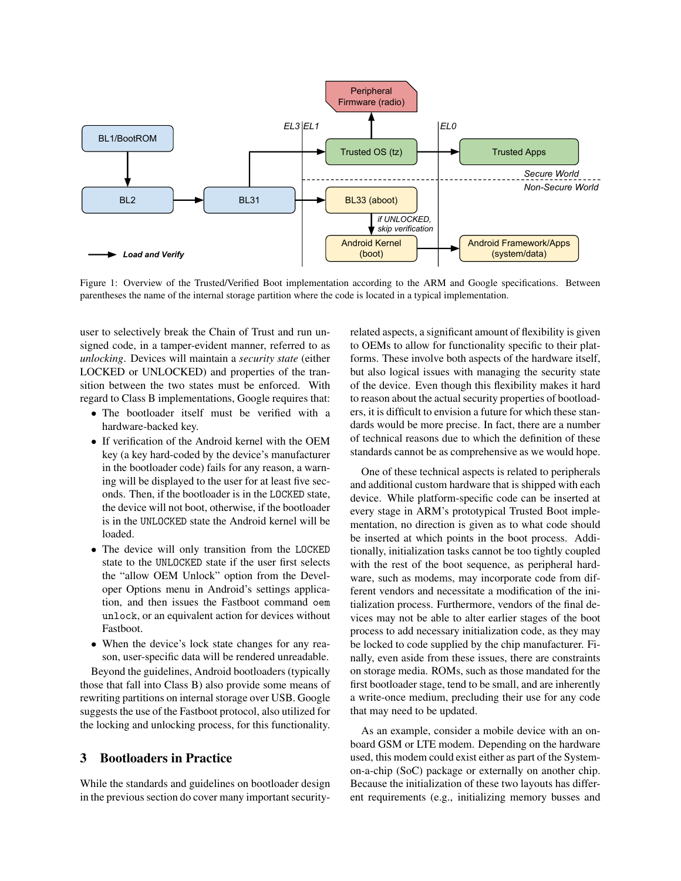<span id="page-3-0"></span>

Figure 1: Overview of the Trusted/Verified Boot implementation according to the ARM and Google specifications. Between parentheses the name of the internal storage partition where the code is located in a typical implementation.

user to selectively break the Chain of Trust and run unsigned code, in a tamper-evident manner, referred to as *unlocking*. Devices will maintain a *security state* (either LOCKED or UNLOCKED) and properties of the transition between the two states must be enforced. With regard to Class B implementations, Google requires that:

- The bootloader itself must be verified with a hardware-backed key.
- If verification of the Android kernel with the OEM key (a key hard-coded by the device's manufacturer in the bootloader code) fails for any reason, a warning will be displayed to the user for at least five seconds. Then, if the bootloader is in the LOCKED state, the device will not boot, otherwise, if the bootloader is in the UNLOCKED state the Android kernel will be loaded.
- The device will only transition from the LOCKED state to the UNLOCKED state if the user first selects the "allow OEM Unlock" option from the Developer Options menu in Android's settings application, and then issues the Fastboot command oem unlock, or an equivalent action for devices without Fastboot.
- When the device's lock state changes for any reason, user-specific data will be rendered unreadable.

Beyond the guidelines, Android bootloaders (typically those that fall into Class B) also provide some means of rewriting partitions on internal storage over USB. Google suggests the use of the Fastboot protocol, also utilized for the locking and unlocking process, for this functionality.

# 3 Bootloaders in Practice

While the standards and guidelines on bootloader design in the previous section do cover many important securityrelated aspects, a significant amount of flexibility is given to OEMs to allow for functionality specific to their platforms. These involve both aspects of the hardware itself, but also logical issues with managing the security state of the device. Even though this flexibility makes it hard to reason about the actual security properties of bootloaders, it is difficult to envision a future for which these standards would be more precise. In fact, there are a number of technical reasons due to which the definition of these standards cannot be as comprehensive as we would hope.

One of these technical aspects is related to peripherals and additional custom hardware that is shipped with each device. While platform-specific code can be inserted at every stage in ARM's prototypical Trusted Boot implementation, no direction is given as to what code should be inserted at which points in the boot process. Additionally, initialization tasks cannot be too tightly coupled with the rest of the boot sequence, as peripheral hardware, such as modems, may incorporate code from different vendors and necessitate a modification of the initialization process. Furthermore, vendors of the final devices may not be able to alter earlier stages of the boot process to add necessary initialization code, as they may be locked to code supplied by the chip manufacturer. Finally, even aside from these issues, there are constraints on storage media. ROMs, such as those mandated for the first bootloader stage, tend to be small, and are inherently a write-once medium, precluding their use for any code that may need to be updated.

As an example, consider a mobile device with an onboard GSM or LTE modem. Depending on the hardware used, this modem could exist either as part of the Systemon-a-chip (SoC) package or externally on another chip. Because the initialization of these two layouts has different requirements (e.g., initializing memory busses and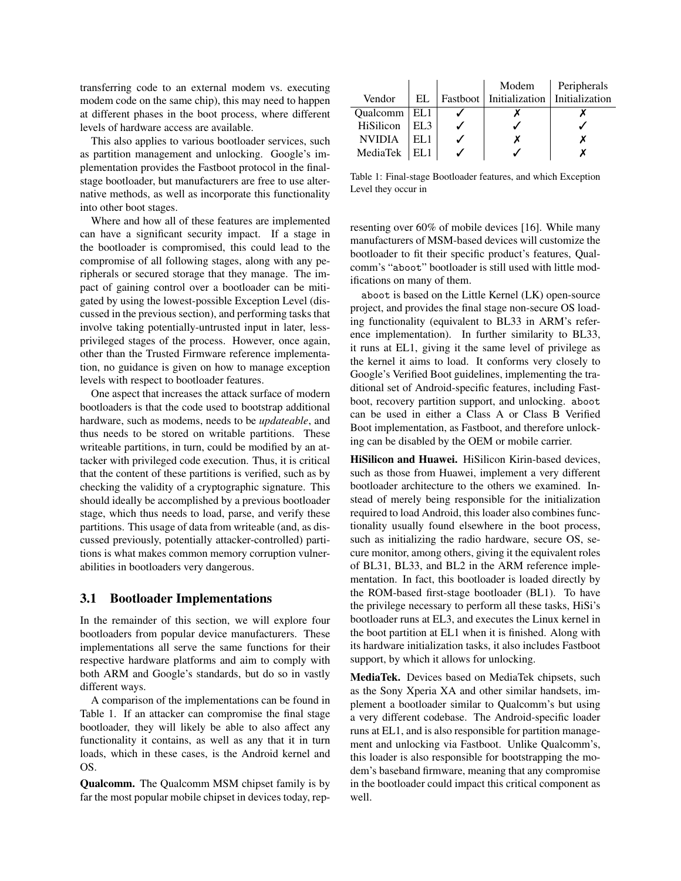transferring code to an external modem vs. executing modem code on the same chip), this may need to happen at different phases in the boot process, where different levels of hardware access are available.

This also applies to various bootloader services, such as partition management and unlocking. Google's implementation provides the Fastboot protocol in the finalstage bootloader, but manufacturers are free to use alternative methods, as well as incorporate this functionality into other boot stages.

Where and how all of these features are implemented can have a significant security impact. If a stage in the bootloader is compromised, this could lead to the compromise of all following stages, along with any peripherals or secured storage that they manage. The impact of gaining control over a bootloader can be mitigated by using the lowest-possible Exception Level (discussed in the previous section), and performing tasks that involve taking potentially-untrusted input in later, lessprivileged stages of the process. However, once again, other than the Trusted Firmware reference implementation, no guidance is given on how to manage exception levels with respect to bootloader features.

One aspect that increases the attack surface of modern bootloaders is that the code used to bootstrap additional hardware, such as modems, needs to be *updateable*, and thus needs to be stored on writable partitions. These writeable partitions, in turn, could be modified by an attacker with privileged code execution. Thus, it is critical that the content of these partitions is verified, such as by checking the validity of a cryptographic signature. This should ideally be accomplished by a previous bootloader stage, which thus needs to load, parse, and verify these partitions. This usage of data from writeable (and, as discussed previously, potentially attacker-controlled) partitions is what makes common memory corruption vulnerabilities in bootloaders very dangerous.

# <span id="page-4-1"></span>3.1 Bootloader Implementations

In the remainder of this section, we will explore four bootloaders from popular device manufacturers. These implementations all serve the same functions for their respective hardware platforms and aim to comply with both ARM and Google's standards, but do so in vastly different ways.

A comparison of the implementations can be found in Table [1.](#page-4-0) If an attacker can compromise the final stage bootloader, they will likely be able to also affect any functionality it contains, as well as any that it in turn loads, which in these cases, is the Android kernel and OS.

Qualcomm. The Qualcomm MSM chipset family is by far the most popular mobile chipset in devices today, rep-

<span id="page-4-0"></span>

|                 | Modem | Peripherals                                |
|-----------------|-------|--------------------------------------------|
| EL              |       |                                            |
| Qualcomm $ EL1$ |       |                                            |
| EL 3            |       |                                            |
|                 |       |                                            |
|                 |       |                                            |
|                 |       | Fastboot   Initialization   Initialization |

Table 1: Final-stage Bootloader features, and which Exception Level they occur in

resenting over 60% of mobile devices [\[16\]](#page-16-4). While many manufacturers of MSM-based devices will customize the bootloader to fit their specific product's features, Qualcomm's "aboot" bootloader is still used with little modifications on many of them.

aboot is based on the Little Kernel (LK) open-source project, and provides the final stage non-secure OS loading functionality (equivalent to BL33 in ARM's reference implementation). In further similarity to BL33, it runs at EL1, giving it the same level of privilege as the kernel it aims to load. It conforms very closely to Google's Verified Boot guidelines, implementing the traditional set of Android-specific features, including Fastboot, recovery partition support, and unlocking. aboot can be used in either a Class A or Class B Verified Boot implementation, as Fastboot, and therefore unlocking can be disabled by the OEM or mobile carrier.

HiSilicon and Huawei. HiSilicon Kirin-based devices, such as those from Huawei, implement a very different bootloader architecture to the others we examined. Instead of merely being responsible for the initialization required to load Android, this loader also combines functionality usually found elsewhere in the boot process, such as initializing the radio hardware, secure OS, secure monitor, among others, giving it the equivalent roles of BL31, BL33, and BL2 in the ARM reference implementation. In fact, this bootloader is loaded directly by the ROM-based first-stage bootloader (BL1). To have the privilege necessary to perform all these tasks, HiSi's bootloader runs at EL3, and executes the Linux kernel in the boot partition at EL1 when it is finished. Along with its hardware initialization tasks, it also includes Fastboot support, by which it allows for unlocking.

MediaTek. Devices based on MediaTek chipsets, such as the Sony Xperia XA and other similar handsets, implement a bootloader similar to Qualcomm's but using a very different codebase. The Android-specific loader runs at EL1, and is also responsible for partition management and unlocking via Fastboot. Unlike Qualcomm's, this loader is also responsible for bootstrapping the modem's baseband firmware, meaning that any compromise in the bootloader could impact this critical component as well.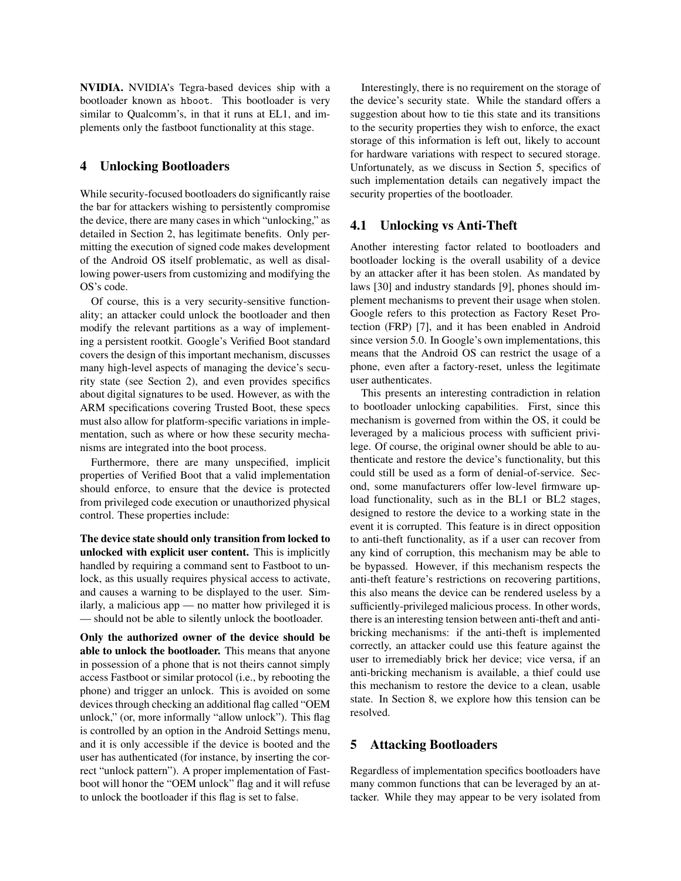NVIDIA. NVIDIA's Tegra-based devices ship with a bootloader known as hboot. This bootloader is very similar to Qualcomm's, in that it runs at EL1, and implements only the fastboot functionality at this stage.

# <span id="page-5-1"></span>4 Unlocking Bootloaders

While security-focused bootloaders do significantly raise the bar for attackers wishing to persistently compromise the device, there are many cases in which "unlocking," as detailed in Section [2,](#page-1-1) has legitimate benefits. Only permitting the execution of signed code makes development of the Android OS itself problematic, as well as disallowing power-users from customizing and modifying the OS's code.

Of course, this is a very security-sensitive functionality; an attacker could unlock the bootloader and then modify the relevant partitions as a way of implementing a persistent rootkit. Google's Verified Boot standard covers the design of this important mechanism, discusses many high-level aspects of managing the device's security state (see Section [2\)](#page-1-1), and even provides specifics about digital signatures to be used. However, as with the ARM specifications covering Trusted Boot, these specs must also allow for platform-specific variations in implementation, such as where or how these security mechanisms are integrated into the boot process.

Furthermore, there are many unspecified, implicit properties of Verified Boot that a valid implementation should enforce, to ensure that the device is protected from privileged code execution or unauthorized physical control. These properties include:

The device state should only transition from locked to unlocked with explicit user content. This is implicitly handled by requiring a command sent to Fastboot to unlock, as this usually requires physical access to activate, and causes a warning to be displayed to the user. Similarly, a malicious app — no matter how privileged it is — should not be able to silently unlock the bootloader.

Only the authorized owner of the device should be able to unlock the bootloader. This means that anyone in possession of a phone that is not theirs cannot simply access Fastboot or similar protocol (i.e., by rebooting the phone) and trigger an unlock. This is avoided on some devices through checking an additional flag called "OEM unlock," (or, more informally "allow unlock"). This flag is controlled by an option in the Android Settings menu, and it is only accessible if the device is booted and the user has authenticated (for instance, by inserting the correct "unlock pattern"). A proper implementation of Fastboot will honor the "OEM unlock" flag and it will refuse to unlock the bootloader if this flag is set to false.

Interestingly, there is no requirement on the storage of the device's security state. While the standard offers a suggestion about how to tie this state and its transitions to the security properties they wish to enforce, the exact storage of this information is left out, likely to account for hardware variations with respect to secured storage. Unfortunately, as we discuss in Section [5,](#page-5-0) specifics of such implementation details can negatively impact the security properties of the bootloader.

### 4.1 Unlocking vs Anti-Theft

Another interesting factor related to bootloaders and bootloader locking is the overall usability of a device by an attacker after it has been stolen. As mandated by laws [\[30\]](#page-17-0) and industry standards [\[9\]](#page-16-5), phones should implement mechanisms to prevent their usage when stolen. Google refers to this protection as Factory Reset Protection (FRP) [\[7\]](#page-16-6), and it has been enabled in Android since version 5.0. In Google's own implementations, this means that the Android OS can restrict the usage of a phone, even after a factory-reset, unless the legitimate user authenticates.

This presents an interesting contradiction in relation to bootloader unlocking capabilities. First, since this mechanism is governed from within the OS, it could be leveraged by a malicious process with sufficient privilege. Of course, the original owner should be able to authenticate and restore the device's functionality, but this could still be used as a form of denial-of-service. Second, some manufacturers offer low-level firmware upload functionality, such as in the BL1 or BL2 stages, designed to restore the device to a working state in the event it is corrupted. This feature is in direct opposition to anti-theft functionality, as if a user can recover from any kind of corruption, this mechanism may be able to be bypassed. However, if this mechanism respects the anti-theft feature's restrictions on recovering partitions, this also means the device can be rendered useless by a sufficiently-privileged malicious process. In other words, there is an interesting tension between anti-theft and antibricking mechanisms: if the anti-theft is implemented correctly, an attacker could use this feature against the user to irremediably brick her device; vice versa, if an anti-bricking mechanism is available, a thief could use this mechanism to restore the device to a clean, usable state. In Section [8,](#page-14-0) we explore how this tension can be resolved.

### <span id="page-5-0"></span>5 Attacking Bootloaders

Regardless of implementation specifics bootloaders have many common functions that can be leveraged by an attacker. While they may appear to be very isolated from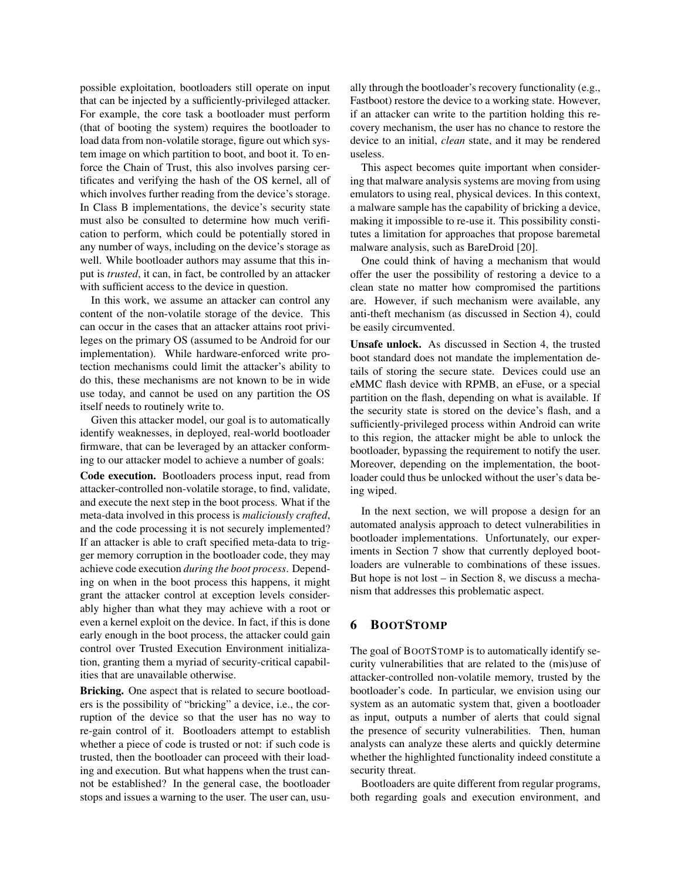possible exploitation, bootloaders still operate on input that can be injected by a sufficiently-privileged attacker. For example, the core task a bootloader must perform (that of booting the system) requires the bootloader to load data from non-volatile storage, figure out which system image on which partition to boot, and boot it. To enforce the Chain of Trust, this also involves parsing certificates and verifying the hash of the OS kernel, all of which involves further reading from the device's storage. In Class B implementations, the device's security state must also be consulted to determine how much verification to perform, which could be potentially stored in any number of ways, including on the device's storage as well. While bootloader authors may assume that this input is *trusted*, it can, in fact, be controlled by an attacker with sufficient access to the device in question.

In this work, we assume an attacker can control any content of the non-volatile storage of the device. This can occur in the cases that an attacker attains root privileges on the primary OS (assumed to be Android for our implementation). While hardware-enforced write protection mechanisms could limit the attacker's ability to do this, these mechanisms are not known to be in wide use today, and cannot be used on any partition the OS itself needs to routinely write to.

Given this attacker model, our goal is to automatically identify weaknesses, in deployed, real-world bootloader firmware, that can be leveraged by an attacker conforming to our attacker model to achieve a number of goals:

Code execution. Bootloaders process input, read from attacker-controlled non-volatile storage, to find, validate, and execute the next step in the boot process. What if the meta-data involved in this process is *maliciously crafted*, and the code processing it is not securely implemented? If an attacker is able to craft specified meta-data to trigger memory corruption in the bootloader code, they may achieve code execution *during the boot process*. Depending on when in the boot process this happens, it might grant the attacker control at exception levels considerably higher than what they may achieve with a root or even a kernel exploit on the device. In fact, if this is done early enough in the boot process, the attacker could gain control over Trusted Execution Environment initialization, granting them a myriad of security-critical capabilities that are unavailable otherwise.

Bricking. One aspect that is related to secure bootloaders is the possibility of "bricking" a device, i.e., the corruption of the device so that the user has no way to re-gain control of it. Bootloaders attempt to establish whether a piece of code is trusted or not: if such code is trusted, then the bootloader can proceed with their loading and execution. But what happens when the trust cannot be established? In the general case, the bootloader stops and issues a warning to the user. The user can, usually through the bootloader's recovery functionality (e.g., Fastboot) restore the device to a working state. However, if an attacker can write to the partition holding this recovery mechanism, the user has no chance to restore the device to an initial, *clean* state, and it may be rendered useless.

This aspect becomes quite important when considering that malware analysis systems are moving from using emulators to using real, physical devices. In this context, a malware sample has the capability of bricking a device, making it impossible to re-use it. This possibility constitutes a limitation for approaches that propose baremetal malware analysis, such as BareDroid [\[20\]](#page-16-7).

One could think of having a mechanism that would offer the user the possibility of restoring a device to a clean state no matter how compromised the partitions are. However, if such mechanism were available, any anti-theft mechanism (as discussed in Section [4\)](#page-5-1), could be easily circumvented.

Unsafe unlock. As discussed in Section [4,](#page-5-1) the trusted boot standard does not mandate the implementation details of storing the secure state. Devices could use an eMMC flash device with RPMB, an eFuse, or a special partition on the flash, depending on what is available. If the security state is stored on the device's flash, and a sufficiently-privileged process within Android can write to this region, the attacker might be able to unlock the bootloader, bypassing the requirement to notify the user. Moreover, depending on the implementation, the bootloader could thus be unlocked without the user's data being wiped.

In the next section, we will propose a design for an automated analysis approach to detect vulnerabilities in bootloader implementations. Unfortunately, our experiments in Section [7](#page-10-0) show that currently deployed bootloaders are vulnerable to combinations of these issues. But hope is not lost – in Section [8,](#page-14-0) we discuss a mechanism that addresses this problematic aspect.

# <span id="page-6-0"></span>6 BOOTSTOMP

The goal of BOOTSTOMP is to automatically identify security vulnerabilities that are related to the (mis)use of attacker-controlled non-volatile memory, trusted by the bootloader's code. In particular, we envision using our system as an automatic system that, given a bootloader as input, outputs a number of alerts that could signal the presence of security vulnerabilities. Then, human analysts can analyze these alerts and quickly determine whether the highlighted functionality indeed constitute a security threat.

Bootloaders are quite different from regular programs, both regarding goals and execution environment, and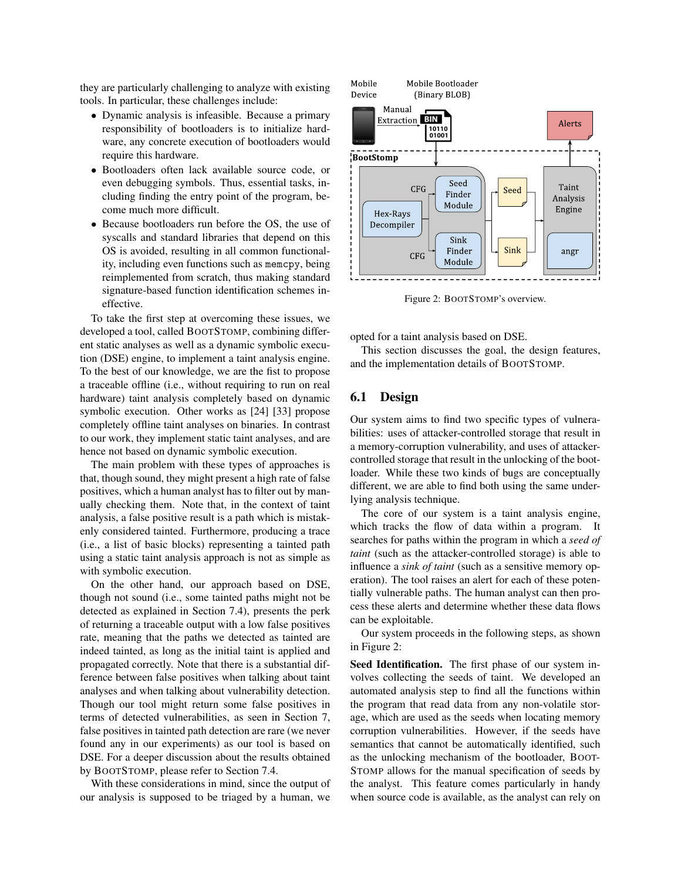they are particularly challenging to analyze with existing tools. In particular, these challenges include:

- Dynamic analysis is infeasible. Because a primary responsibility of bootloaders is to initialize hardware, any concrete execution of bootloaders would require this hardware.
- Bootloaders often lack available source code, or even debugging symbols. Thus, essential tasks, including finding the entry point of the program, become much more difficult.
- Because bootloaders run before the OS, the use of syscalls and standard libraries that depend on this OS is avoided, resulting in all common functionality, including even functions such as memcpy, being reimplemented from scratch, thus making standard signature-based function identification schemes ineffective.

To take the first step at overcoming these issues, we developed a tool, called BOOTSTOMP, combining different static analyses as well as a dynamic symbolic execution (DSE) engine, to implement a taint analysis engine. To the best of our knowledge, we are the fist to propose a traceable offline (i.e., without requiring to run on real hardware) taint analysis completely based on dynamic symbolic execution. Other works as [\[24\]](#page-16-8) [\[33\]](#page-17-1) propose completely offline taint analyses on binaries. In contrast to our work, they implement static taint analyses, and are hence not based on dynamic symbolic execution.

The main problem with these types of approaches is that, though sound, they might present a high rate of false positives, which a human analyst has to filter out by manually checking them. Note that, in the context of taint analysis, a false positive result is a path which is mistakenly considered tainted. Furthermore, producing a trace (i.e., a list of basic blocks) representing a tainted path using a static taint analysis approach is not as simple as with symbolic execution.

On the other hand, our approach based on DSE, though not sound (i.e., some tainted paths might not be detected as explained in Section [7.4\)](#page-13-0), presents the perk of returning a traceable output with a low false positives rate, meaning that the paths we detected as tainted are indeed tainted, as long as the initial taint is applied and propagated correctly. Note that there is a substantial difference between false positives when talking about taint analyses and when talking about vulnerability detection. Though our tool might return some false positives in terms of detected vulnerabilities, as seen in Section [7,](#page-10-0) false positives in tainted path detection are rare (we never found any in our experiments) as our tool is based on DSE. For a deeper discussion about the results obtained by BOOTSTOMP, please refer to Section [7.4.](#page-13-0)

With these considerations in mind, since the output of our analysis is supposed to be triaged by a human, we

<span id="page-7-0"></span>

Figure 2: BOOTSTOMP's overview.

opted for a taint analysis based on DSE.

This section discusses the goal, the design features, and the implementation details of BOOTSTOMP.

# 6.1 Design

Our system aims to find two specific types of vulnerabilities: uses of attacker-controlled storage that result in a memory-corruption vulnerability, and uses of attackercontrolled storage that result in the unlocking of the bootloader. While these two kinds of bugs are conceptually different, we are able to find both using the same underlying analysis technique.

The core of our system is a taint analysis engine, which tracks the flow of data within a program. It searches for paths within the program in which a *seed of taint* (such as the attacker-controlled storage) is able to influence a *sink of taint* (such as a sensitive memory operation). The tool raises an alert for each of these potentially vulnerable paths. The human analyst can then process these alerts and determine whether these data flows can be exploitable.

Our system proceeds in the following steps, as shown in Figure [2:](#page-7-0)

Seed Identification. The first phase of our system involves collecting the seeds of taint. We developed an automated analysis step to find all the functions within the program that read data from any non-volatile storage, which are used as the seeds when locating memory corruption vulnerabilities. However, if the seeds have semantics that cannot be automatically identified, such as the unlocking mechanism of the bootloader, BOOT-STOMP allows for the manual specification of seeds by the analyst. This feature comes particularly in handy when source code is available, as the analyst can rely on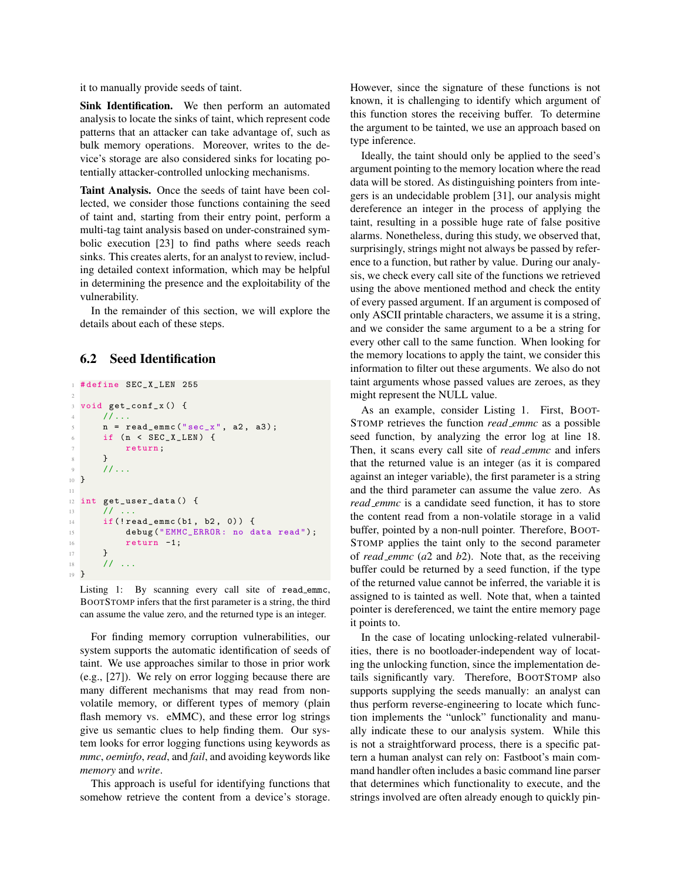it to manually provide seeds of taint.

Sink Identification. We then perform an automated analysis to locate the sinks of taint, which represent code patterns that an attacker can take advantage of, such as bulk memory operations. Moreover, writes to the device's storage are also considered sinks for locating potentially attacker-controlled unlocking mechanisms.

Taint Analysis. Once the seeds of taint have been collected, we consider those functions containing the seed of taint and, starting from their entry point, perform a multi-tag taint analysis based on under-constrained symbolic execution [\[23\]](#page-16-9) to find paths where seeds reach sinks. This creates alerts, for an analyst to review, including detailed context information, which may be helpful in determining the presence and the exploitability of the vulnerability.

In the remainder of this section, we will explore the details about each of these steps.

# <span id="page-8-1"></span>6.2 Seed Identification

```
#define SEC_X_LEN 255
2
3 void get_conf_x () {
     11...n = read_{emmc}("sec_x", a2, a3);6 if (n < SEC_X_LEN) {
7 return;
8 }
9 //...
10 }
11
12 int get_user_data () {
13 // ...
14 if (!read_emmc (b1, b2, 0)) {
15 debug ("EMMC_ERROR: no data read");
16 return -1;
17 }
18 // ...
19 }
```
Listing 1: By scanning every call site of read\_emmc, BOOTSTOMP infers that the first parameter is a string, the third can assume the value zero, and the returned type is an integer.

For finding memory corruption vulnerabilities, our system supports the automatic identification of seeds of taint. We use approaches similar to those in prior work (e.g., [\[27\]](#page-17-2)). We rely on error logging because there are many different mechanisms that may read from nonvolatile memory, or different types of memory (plain flash memory vs. eMMC), and these error log strings give us semantic clues to help finding them. Our system looks for error logging functions using keywords as *mmc*, *oeminfo*, *read*, and *fail*, and avoiding keywords like *memory* and *write*.

This approach is useful for identifying functions that somehow retrieve the content from a device's storage. However, since the signature of these functions is not known, it is challenging to identify which argument of this function stores the receiving buffer. To determine the argument to be tainted, we use an approach based on type inference.

Ideally, the taint should only be applied to the seed's argument pointing to the memory location where the read data will be stored. As distinguishing pointers from integers is an undecidable problem [\[31\]](#page-17-3), our analysis might dereference an integer in the process of applying the taint, resulting in a possible huge rate of false positive alarms. Nonetheless, during this study, we observed that, surprisingly, strings might not always be passed by reference to a function, but rather by value. During our analysis, we check every call site of the functions we retrieved using the above mentioned method and check the entity of every passed argument. If an argument is composed of only ASCII printable characters, we assume it is a string, and we consider the same argument to a be a string for every other call to the same function. When looking for the memory locations to apply the taint, we consider this information to filter out these arguments. We also do not taint arguments whose passed values are zeroes, as they might represent the NULL value.

As an example, consider Listing [1.](#page-8-0) First, BOOT-STOMP retrieves the function *read emmc* as a possible seed function, by analyzing the error log at line 18. Then, it scans every call site of *read emmc* and infers that the returned value is an integer (as it is compared against an integer variable), the first parameter is a string and the third parameter can assume the value zero. As *read emmc* is a candidate seed function, it has to store the content read from a non-volatile storage in a valid buffer, pointed by a non-null pointer. Therefore, BOOT-STOMP applies the taint only to the second parameter of *read emmc* (*a*2 and *b*2). Note that, as the receiving buffer could be returned by a seed function, if the type of the returned value cannot be inferred, the variable it is assigned to is tainted as well. Note that, when a tainted pointer is dereferenced, we taint the entire memory page it points to.

In the case of locating unlocking-related vulnerabilities, there is no bootloader-independent way of locating the unlocking function, since the implementation details significantly vary. Therefore, BOOTSTOMP also supports supplying the seeds manually: an analyst can thus perform reverse-engineering to locate which function implements the "unlock" functionality and manually indicate these to our analysis system. While this is not a straightforward process, there is a specific pattern a human analyst can rely on: Fastboot's main command handler often includes a basic command line parser that determines which functionality to execute, and the strings involved are often already enough to quickly pin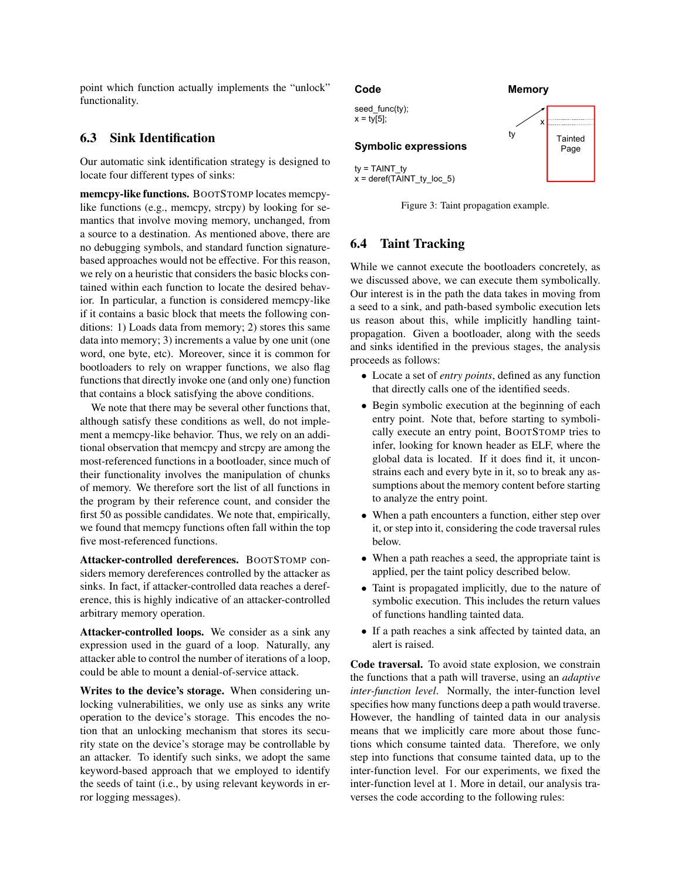point which function actually implements the "unlock" functionality.

# 6.3 Sink Identification

Our automatic sink identification strategy is designed to locate four different types of sinks:

memcpy-like functions. BOOTSTOMP locates memcpylike functions (e.g., memcpy, strcpy) by looking for semantics that involve moving memory, unchanged, from a source to a destination. As mentioned above, there are no debugging symbols, and standard function signaturebased approaches would not be effective. For this reason, we rely on a heuristic that considers the basic blocks contained within each function to locate the desired behavior. In particular, a function is considered memcpy-like if it contains a basic block that meets the following conditions: 1) Loads data from memory; 2) stores this same data into memory; 3) increments a value by one unit (one word, one byte, etc). Moreover, since it is common for bootloaders to rely on wrapper functions, we also flag functions that directly invoke one (and only one) function that contains a block satisfying the above conditions.

We note that there may be several other functions that, although satisfy these conditions as well, do not implement a memcpy-like behavior. Thus, we rely on an additional observation that memcpy and strcpy are among the most-referenced functions in a bootloader, since much of their functionality involves the manipulation of chunks of memory. We therefore sort the list of all functions in the program by their reference count, and consider the first 50 as possible candidates. We note that, empirically, we found that memcpy functions often fall within the top five most-referenced functions.

Attacker-controlled dereferences. BOOTSTOMP considers memory dereferences controlled by the attacker as sinks. In fact, if attacker-controlled data reaches a dereference, this is highly indicative of an attacker-controlled arbitrary memory operation.

Attacker-controlled loops. We consider as a sink any expression used in the guard of a loop. Naturally, any attacker able to control the number of iterations of a loop, could be able to mount a denial-of-service attack.

Writes to the device's storage. When considering unlocking vulnerabilities, we only use as sinks any write operation to the device's storage. This encodes the notion that an unlocking mechanism that stores its security state on the device's storage may be controllable by an attacker. To identify such sinks, we adopt the same keyword-based approach that we employed to identify the seeds of taint (i.e., by using relevant keywords in error logging messages).

seed\_func(ty);  $x = \frac{t}{5}$ ;

# **Symbolic expressions**

ty = TAINT\_ty  $x =$  deref(TAINT\_ty\_loc\_5)

Figure 3: Taint propagation example.

# 6.4 Taint Tracking

While we cannot execute the bootloaders concretely, as we discussed above, we can execute them symbolically. Our interest is in the path the data takes in moving from a seed to a sink, and path-based symbolic execution lets us reason about this, while implicitly handling taintpropagation. Given a bootloader, along with the seeds and sinks identified in the previous stages, the analysis proceeds as follows:

- Locate a set of *entry points*, defined as any function that directly calls one of the identified seeds.
- Begin symbolic execution at the beginning of each entry point. Note that, before starting to symbolically execute an entry point, BOOTSTOMP tries to infer, looking for known header as ELF, where the global data is located. If it does find it, it unconstrains each and every byte in it, so to break any assumptions about the memory content before starting to analyze the entry point.
- When a path encounters a function, either step over it, or step into it, considering the code traversal rules below.
- When a path reaches a seed, the appropriate taint is applied, per the taint policy described below.
- Taint is propagated implicitly, due to the nature of symbolic execution. This includes the return values of functions handling tainted data.
- If a path reaches a sink affected by tainted data, an alert is raised.

Code traversal. To avoid state explosion, we constrain the functions that a path will traverse, using an *adaptive inter-function level*. Normally, the inter-function level specifies how many functions deep a path would traverse. However, the handling of tainted data in our analysis means that we implicitly care more about those functions which consume tainted data. Therefore, we only step into functions that consume tainted data, up to the inter-function level. For our experiments, we fixed the inter-function level at 1. More in detail, our analysis traverses the code according to the following rules:

### <span id="page-9-0"></span>**Code Memory**

ty

**Tainted** Page

x|::::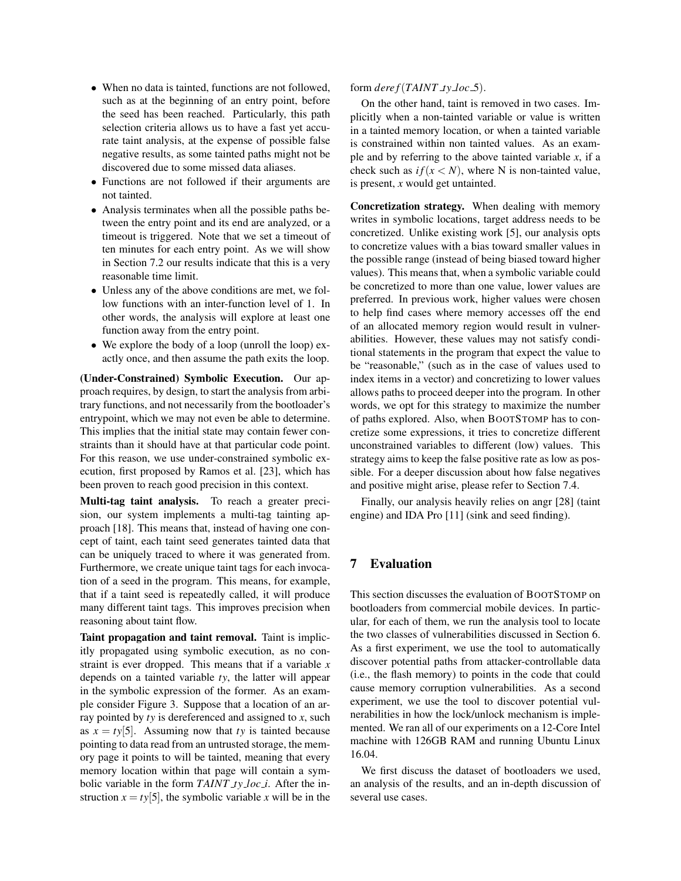- When no data is tainted, functions are not followed, such as at the beginning of an entry point, before the seed has been reached. Particularly, this path selection criteria allows us to have a fast yet accurate taint analysis, at the expense of possible false negative results, as some tainted paths might not be discovered due to some missed data aliases.
- Functions are not followed if their arguments are not tainted.
- Analysis terminates when all the possible paths between the entry point and its end are analyzed, or a timeout is triggered. Note that we set a timeout of ten minutes for each entry point. As we will show in Section [7.2](#page-11-0) our results indicate that this is a very reasonable time limit.
- Unless any of the above conditions are met, we follow functions with an inter-function level of 1. In other words, the analysis will explore at least one function away from the entry point.
- We explore the body of a loop (unroll the loop) exactly once, and then assume the path exits the loop.

(Under-Constrained) Symbolic Execution. Our approach requires, by design, to start the analysis from arbitrary functions, and not necessarily from the bootloader's entrypoint, which we may not even be able to determine. This implies that the initial state may contain fewer constraints than it should have at that particular code point. For this reason, we use under-constrained symbolic execution, first proposed by Ramos et al. [\[23\]](#page-16-9), which has been proven to reach good precision in this context.

Multi-tag taint analysis. To reach a greater precision, our system implements a multi-tag tainting approach [\[18\]](#page-16-10). This means that, instead of having one concept of taint, each taint seed generates tainted data that can be uniquely traced to where it was generated from. Furthermore, we create unique taint tags for each invocation of a seed in the program. This means, for example, that if a taint seed is repeatedly called, it will produce many different taint tags. This improves precision when reasoning about taint flow.

Taint propagation and taint removal. Taint is implicitly propagated using symbolic execution, as no constraint is ever dropped. This means that if a variable *x* depends on a tainted variable *ty*, the latter will appear in the symbolic expression of the former. As an example consider Figure [3.](#page-9-0) Suppose that a location of an array pointed by *ty* is dereferenced and assigned to *x*, such as  $x = tv[5]$ . Assuming now that *ty* is tainted because pointing to data read from an untrusted storage, the memory page it points to will be tainted, meaning that every memory location within that page will contain a symbolic variable in the form *TAINT ty loc i*. After the instruction  $x = ty[5]$ , the symbolic variable *x* will be in the form *dere f*(*TAINT ty loc* 5).

On the other hand, taint is removed in two cases. Implicitly when a non-tainted variable or value is written in a tainted memory location, or when a tainted variable is constrained within non tainted values. As an example and by referring to the above tainted variable *x*, if a check such as  $if(x < N)$ , where N is non-tainted value, is present, *x* would get untainted.

Concretization strategy. When dealing with memory writes in symbolic locations, target address needs to be concretized. Unlike existing work [\[5\]](#page-16-11), our analysis opts to concretize values with a bias toward smaller values in the possible range (instead of being biased toward higher values). This means that, when a symbolic variable could be concretized to more than one value, lower values are preferred. In previous work, higher values were chosen to help find cases where memory accesses off the end of an allocated memory region would result in vulnerabilities. However, these values may not satisfy conditional statements in the program that expect the value to be "reasonable," (such as in the case of values used to index items in a vector) and concretizing to lower values allows paths to proceed deeper into the program. In other words, we opt for this strategy to maximize the number of paths explored. Also, when BOOTSTOMP has to concretize some expressions, it tries to concretize different unconstrained variables to different (low) values. This strategy aims to keep the false positive rate as low as possible. For a deeper discussion about how false negatives and positive might arise, please refer to Section [7.4.](#page-13-0)

Finally, our analysis heavily relies on angr [\[28\]](#page-17-4) (taint engine) and IDA Pro [\[11\]](#page-16-12) (sink and seed finding).

# <span id="page-10-0"></span>7 Evaluation

This section discusses the evaluation of BOOTSTOMP on bootloaders from commercial mobile devices. In particular, for each of them, we run the analysis tool to locate the two classes of vulnerabilities discussed in Section [6.](#page-6-0) As a first experiment, we use the tool to automatically discover potential paths from attacker-controllable data (i.e., the flash memory) to points in the code that could cause memory corruption vulnerabilities. As a second experiment, we use the tool to discover potential vulnerabilities in how the lock/unlock mechanism is implemented. We ran all of our experiments on a 12-Core Intel machine with 126GB RAM and running Ubuntu Linux 16.04.

We first discuss the dataset of bootloaders we used, an analysis of the results, and an in-depth discussion of several use cases.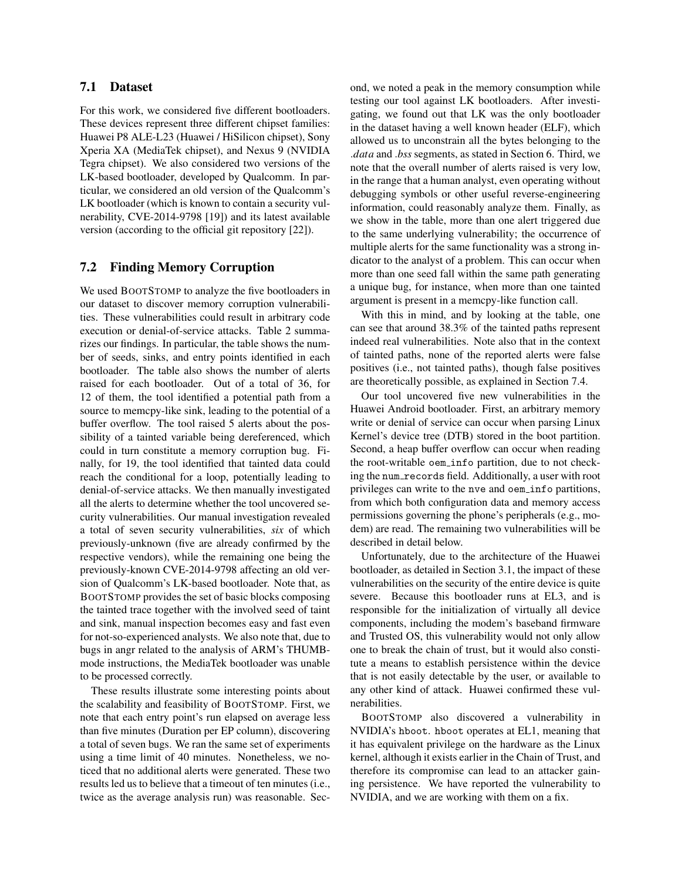# 7.1 Dataset

For this work, we considered five different bootloaders. These devices represent three different chipset families: Huawei P8 ALE-L23 (Huawei / HiSilicon chipset), Sony Xperia XA (MediaTek chipset), and Nexus 9 (NVIDIA Tegra chipset). We also considered two versions of the LK-based bootloader, developed by Qualcomm. In particular, we considered an old version of the Qualcomm's LK bootloader (which is known to contain a security vulnerability, CVE-2014-9798 [\[19\]](#page-16-13)) and its latest available version (according to the official git repository [\[22\]](#page-16-14)).

# <span id="page-11-0"></span>7.2 Finding Memory Corruption

We used BOOTSTOMP to analyze the five bootloaders in our dataset to discover memory corruption vulnerabilities. These vulnerabilities could result in arbitrary code execution or denial-of-service attacks. Table [2](#page-12-0) summarizes our findings. In particular, the table shows the number of seeds, sinks, and entry points identified in each bootloader. The table also shows the number of alerts raised for each bootloader. Out of a total of 36, for 12 of them, the tool identified a potential path from a source to memcpy-like sink, leading to the potential of a buffer overflow. The tool raised 5 alerts about the possibility of a tainted variable being dereferenced, which could in turn constitute a memory corruption bug. Finally, for 19, the tool identified that tainted data could reach the conditional for a loop, potentially leading to denial-of-service attacks. We then manually investigated all the alerts to determine whether the tool uncovered security vulnerabilities. Our manual investigation revealed a total of seven security vulnerabilities, *six* of which previously-unknown (five are already confirmed by the respective vendors), while the remaining one being the previously-known CVE-2014-9798 affecting an old version of Qualcomm's LK-based bootloader. Note that, as BOOTSTOMP provides the set of basic blocks composing the tainted trace together with the involved seed of taint and sink, manual inspection becomes easy and fast even for not-so-experienced analysts. We also note that, due to bugs in angr related to the analysis of ARM's THUMBmode instructions, the MediaTek bootloader was unable to be processed correctly.

These results illustrate some interesting points about the scalability and feasibility of BOOTSTOMP. First, we note that each entry point's run elapsed on average less than five minutes (Duration per EP column), discovering a total of seven bugs. We ran the same set of experiments using a time limit of 40 minutes. Nonetheless, we noticed that no additional alerts were generated. These two results led us to believe that a timeout of ten minutes (i.e., twice as the average analysis run) was reasonable. Second, we noted a peak in the memory consumption while testing our tool against LK bootloaders. After investigating, we found out that LK was the only bootloader in the dataset having a well known header (ELF), which allowed us to unconstrain all the bytes belonging to the .*data* and .*bss* segments, as stated in Section [6.](#page-6-0) Third, we note that the overall number of alerts raised is very low, in the range that a human analyst, even operating without debugging symbols or other useful reverse-engineering information, could reasonably analyze them. Finally, as we show in the table, more than one alert triggered due to the same underlying vulnerability; the occurrence of multiple alerts for the same functionality was a strong indicator to the analyst of a problem. This can occur when more than one seed fall within the same path generating a unique bug, for instance, when more than one tainted argument is present in a memcpy-like function call.

With this in mind, and by looking at the table, one can see that around 38.3% of the tainted paths represent indeed real vulnerabilities. Note also that in the context of tainted paths, none of the reported alerts were false positives (i.e., not tainted paths), though false positives are theoretically possible, as explained in Section [7.4.](#page-13-0)

Our tool uncovered five new vulnerabilities in the Huawei Android bootloader. First, an arbitrary memory write or denial of service can occur when parsing Linux Kernel's device tree (DTB) stored in the boot partition. Second, a heap buffer overflow can occur when reading the root-writable oem info partition, due to not checking the num records field. Additionally, a user with root privileges can write to the nve and oem info partitions, from which both configuration data and memory access permissions governing the phone's peripherals (e.g., modem) are read. The remaining two vulnerabilities will be described in detail below.

Unfortunately, due to the architecture of the Huawei bootloader, as detailed in Section [3.1,](#page-4-1) the impact of these vulnerabilities on the security of the entire device is quite severe. Because this bootloader runs at EL3, and is responsible for the initialization of virtually all device components, including the modem's baseband firmware and Trusted OS, this vulnerability would not only allow one to break the chain of trust, but it would also constitute a means to establish persistence within the device that is not easily detectable by the user, or available to any other kind of attack. Huawei confirmed these vulnerabilities.

BOOTSTOMP also discovered a vulnerability in NVIDIA's hboot. hboot operates at EL1, meaning that it has equivalent privilege on the hardware as the Linux kernel, although it exists earlier in the Chain of Trust, and therefore its compromise can lead to an attacker gaining persistence. We have reported the vulnerability to NVIDIA, and we are working with them on a fix.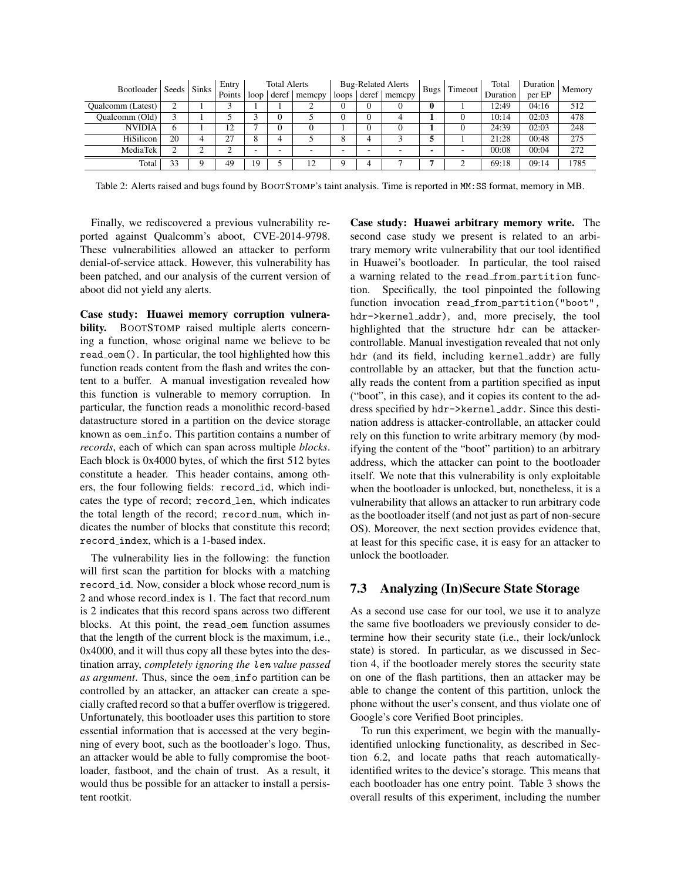<span id="page-12-0"></span>

|                   | Seeds   Sinks<br>Bootloader |  | Entry  | <b>Total Alerts</b> |       |        | <b>Bug-Related Alerts</b> |          |                          | <b>Bugs</b> | Timeout | Total    | Duration | Memory |
|-------------------|-----------------------------|--|--------|---------------------|-------|--------|---------------------------|----------|--------------------------|-------------|---------|----------|----------|--------|
|                   |                             |  | Points | loop                | deref | memcpy | loops                     | $d$ eref | memcpy                   |             |         | Duration | per EP   |        |
| Qualcomm (Latest) |                             |  |        |                     |       |        |                           |          |                          | 0           |         | 12:49    | 04:16    | 512    |
| Qualcomm (Old)    |                             |  |        |                     |       |        |                           | $\Omega$ |                          |             |         | 10:14    | 02:03    | 478    |
| <b>NVIDIA</b>     | 6                           |  | 12     |                     |       |        |                           |          |                          |             |         | 24:39    | 02:03    | 248    |
| HiSilicon         | 20                          |  | 27     |                     |       |        | o                         |          |                          |             |         | 21:28    | 00:48    | 275    |
| MediaTek          |                             |  |        |                     |       |        | -                         | -        | $\overline{\phantom{a}}$ |             | ۰.      | 00:08    | 00:04    | 272    |
| Total             | 33                          |  | 49     | 19                  |       | 12     |                           |          |                          |             |         | 69:18    | 09:14    | 1785   |

Table 2: Alerts raised and bugs found by BOOTSTOMP's taint analysis. Time is reported in MM:SS format, memory in MB.

Finally, we rediscovered a previous vulnerability reported against Qualcomm's aboot, CVE-2014-9798. These vulnerabilities allowed an attacker to perform denial-of-service attack. However, this vulnerability has been patched, and our analysis of the current version of aboot did not yield any alerts.

Case study: Huawei memory corruption vulnerability. BOOTSTOMP raised multiple alerts concerning a function, whose original name we believe to be read oem(). In particular, the tool highlighted how this function reads content from the flash and writes the content to a buffer. A manual investigation revealed how this function is vulnerable to memory corruption. In particular, the function reads a monolithic record-based datastructure stored in a partition on the device storage known as oem info. This partition contains a number of *records*, each of which can span across multiple *blocks*. Each block is 0x4000 bytes, of which the first 512 bytes constitute a header. This header contains, among others, the four following fields: record\_id, which indicates the type of record; record len, which indicates the total length of the record; record\_num, which indicates the number of blocks that constitute this record; record index, which is a 1-based index.

The vulnerability lies in the following: the function will first scan the partition for blocks with a matching record id. Now, consider a block whose record num is 2 and whose record index is 1. The fact that record num is 2 indicates that this record spans across two different blocks. At this point, the read oem function assumes that the length of the current block is the maximum, i.e., 0x4000, and it will thus copy all these bytes into the destination array, *completely ignoring the* len *value passed as argument*. Thus, since the oem\_info partition can be controlled by an attacker, an attacker can create a specially crafted record so that a buffer overflow is triggered. Unfortunately, this bootloader uses this partition to store essential information that is accessed at the very beginning of every boot, such as the bootloader's logo. Thus, an attacker would be able to fully compromise the bootloader, fastboot, and the chain of trust. As a result, it would thus be possible for an attacker to install a persistent rootkit.

Case study: Huawei arbitrary memory write. The second case study we present is related to an arbitrary memory write vulnerability that our tool identified in Huawei's bootloader. In particular, the tool raised a warning related to the read from partition function. Specifically, the tool pinpointed the following function invocation read\_from\_partition("boot", hdr->kernel addr), and, more precisely, the tool highlighted that the structure hdr can be attackercontrollable. Manual investigation revealed that not only hdr (and its field, including kernel addr) are fully controllable by an attacker, but that the function actually reads the content from a partition specified as input ("boot", in this case), and it copies its content to the address specified by hdr->kernel addr. Since this destination address is attacker-controllable, an attacker could rely on this function to write arbitrary memory (by modifying the content of the "boot" partition) to an arbitrary address, which the attacker can point to the bootloader itself. We note that this vulnerability is only exploitable when the bootloader is unlocked, but, nonetheless, it is a vulnerability that allows an attacker to run arbitrary code as the bootloader itself (and not just as part of non-secure OS). Moreover, the next section provides evidence that, at least for this specific case, it is easy for an attacker to unlock the bootloader.

### 7.3 Analyzing (In)Secure State Storage

As a second use case for our tool, we use it to analyze the same five bootloaders we previously consider to determine how their security state (i.e., their lock/unlock state) is stored. In particular, as we discussed in Section [4,](#page-5-1) if the bootloader merely stores the security state on one of the flash partitions, then an attacker may be able to change the content of this partition, unlock the phone without the user's consent, and thus violate one of Google's core Verified Boot principles.

To run this experiment, we begin with the manuallyidentified unlocking functionality, as described in Section [6.2,](#page-8-1) and locate paths that reach automaticallyidentified writes to the device's storage. This means that each bootloader has one entry point. Table [3](#page-13-1) shows the overall results of this experiment, including the number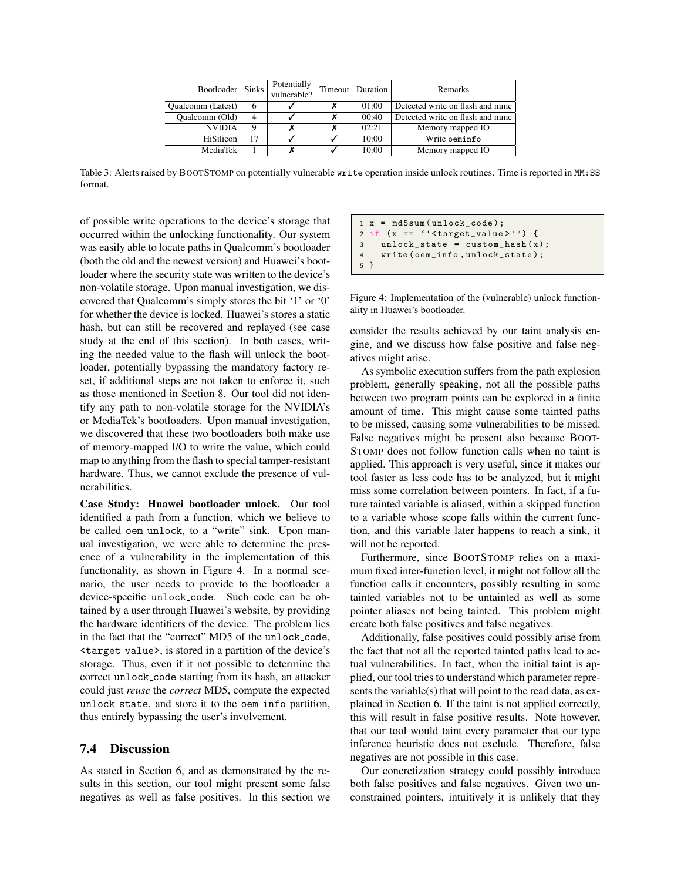<span id="page-13-1"></span>

| Bootloader   Sinks       |    | Potentially<br>vulnerable? | Timeout   Duration | Remarks                         |
|--------------------------|----|----------------------------|--------------------|---------------------------------|
| <b>Oualcomm</b> (Latest) | h  |                            | 01:00              | Detected write on flash and mmc |
| Qualcomm (Old)           | 4  |                            | 00:40              | Detected write on flash and mmc |
| <b>NVIDIA</b>            |    |                            | 02:21              | Memory mapped IO                |
| HiSilicon                | 17 |                            | 10:00              | Write oeminfo                   |
| MediaTek                 |    |                            | 10:00              | Memory mapped IO                |

Table 3: Alerts raised by BOOTSTOMP on potentially vulnerable write operation inside unlock routines. Time is reported in MM:SS format.

of possible write operations to the device's storage that occurred within the unlocking functionality. Our system was easily able to locate paths in Qualcomm's bootloader (both the old and the newest version) and Huawei's bootloader where the security state was written to the device's non-volatile storage. Upon manual investigation, we discovered that Qualcomm's simply stores the bit '1' or '0' for whether the device is locked. Huawei's stores a static hash, but can still be recovered and replayed (see case study at the end of this section). In both cases, writing the needed value to the flash will unlock the bootloader, potentially bypassing the mandatory factory reset, if additional steps are not taken to enforce it, such as those mentioned in Section [8.](#page-14-0) Our tool did not identify any path to non-volatile storage for the NVIDIA's or MediaTek's bootloaders. Upon manual investigation, we discovered that these two bootloaders both make use of memory-mapped I/O to write the value, which could map to anything from the flash to special tamper-resistant hardware. Thus, we cannot exclude the presence of vulnerabilities.

Case Study: Huawei bootloader unlock. Our tool identified a path from a function, which we believe to be called oem\_unlock, to a "write" sink. Upon manual investigation, we were able to determine the presence of a vulnerability in the implementation of this functionality, as shown in Figure [4.](#page-13-2) In a normal scenario, the user needs to provide to the bootloader a device-specific unlock code. Such code can be obtained by a user through Huawei's website, by providing the hardware identifiers of the device. The problem lies in the fact that the "correct" MD5 of the unlock code, <target value>, is stored in a partition of the device's storage. Thus, even if it not possible to determine the correct unlock code starting from its hash, an attacker could just *reuse* the *correct* MD5, compute the expected unlock state, and store it to the oem info partition, thus entirely bypassing the user's involvement.

# <span id="page-13-0"></span>7.4 Discussion

As stated in Section [6,](#page-6-0) and as demonstrated by the results in this section, our tool might present some false negatives as well as false positives. In this section we

<span id="page-13-2"></span>1 x = md5sum ( unlock\_code ) ; 2 if (x == ''< target\_value >'') { 3 unlock\_state = custom\_hash (x ); 4 write ( oem\_info , unlock\_state ) ; 5 }

Figure 4: Implementation of the (vulnerable) unlock functionality in Huawei's bootloader.

consider the results achieved by our taint analysis engine, and we discuss how false positive and false negatives might arise.

As symbolic execution suffers from the path explosion problem, generally speaking, not all the possible paths between two program points can be explored in a finite amount of time. This might cause some tainted paths to be missed, causing some vulnerabilities to be missed. False negatives might be present also because BOOT-STOMP does not follow function calls when no taint is applied. This approach is very useful, since it makes our tool faster as less code has to be analyzed, but it might miss some correlation between pointers. In fact, if a future tainted variable is aliased, within a skipped function to a variable whose scope falls within the current function, and this variable later happens to reach a sink, it will not be reported.

Furthermore, since BOOTSTOMP relies on a maximum fixed inter-function level, it might not follow all the function calls it encounters, possibly resulting in some tainted variables not to be untainted as well as some pointer aliases not being tainted. This problem might create both false positives and false negatives.

Additionally, false positives could possibly arise from the fact that not all the reported tainted paths lead to actual vulnerabilities. In fact, when the initial taint is applied, our tool tries to understand which parameter represents the variable(s) that will point to the read data, as explained in Section [6.](#page-6-0) If the taint is not applied correctly, this will result in false positive results. Note however, that our tool would taint every parameter that our type inference heuristic does not exclude. Therefore, false negatives are not possible in this case.

Our concretization strategy could possibly introduce both false positives and false negatives. Given two unconstrained pointers, intuitively it is unlikely that they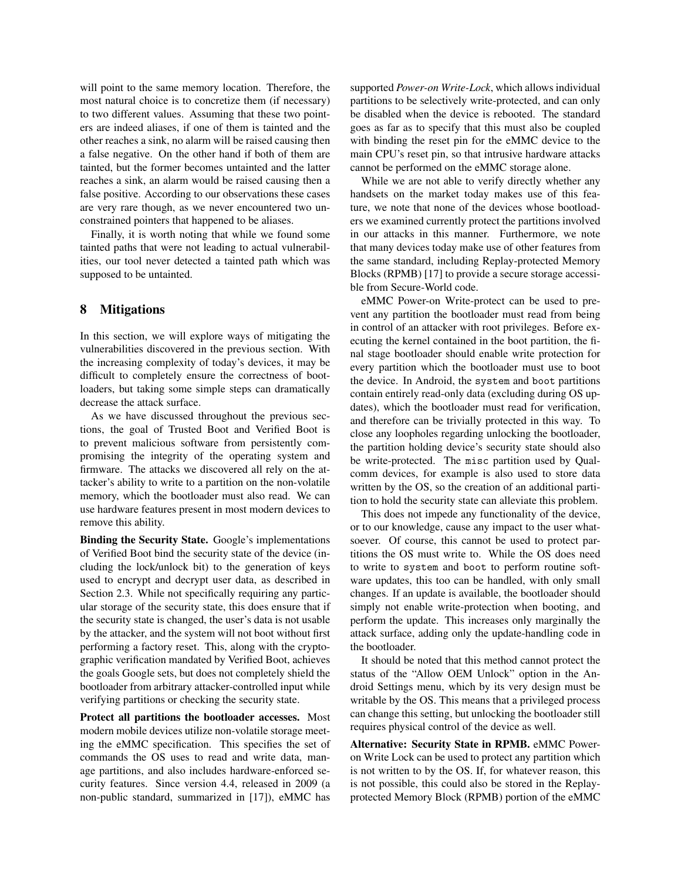will point to the same memory location. Therefore, the most natural choice is to concretize them (if necessary) to two different values. Assuming that these two pointers are indeed aliases, if one of them is tainted and the other reaches a sink, no alarm will be raised causing then a false negative. On the other hand if both of them are tainted, but the former becomes untainted and the latter reaches a sink, an alarm would be raised causing then a false positive. According to our observations these cases are very rare though, as we never encountered two unconstrained pointers that happened to be aliases.

Finally, it is worth noting that while we found some tainted paths that were not leading to actual vulnerabilities, our tool never detected a tainted path which was supposed to be untainted.

# <span id="page-14-0"></span>8 Mitigations

In this section, we will explore ways of mitigating the vulnerabilities discovered in the previous section. With the increasing complexity of today's devices, it may be difficult to completely ensure the correctness of bootloaders, but taking some simple steps can dramatically decrease the attack surface.

As we have discussed throughout the previous sections, the goal of Trusted Boot and Verified Boot is to prevent malicious software from persistently compromising the integrity of the operating system and firmware. The attacks we discovered all rely on the attacker's ability to write to a partition on the non-volatile memory, which the bootloader must also read. We can use hardware features present in most modern devices to remove this ability.

Binding the Security State. Google's implementations of Verified Boot bind the security state of the device (including the lock/unlock bit) to the generation of keys used to encrypt and decrypt user data, as described in Section [2.3.](#page-2-0) While not specifically requiring any particular storage of the security state, this does ensure that if the security state is changed, the user's data is not usable by the attacker, and the system will not boot without first performing a factory reset. This, along with the cryptographic verification mandated by Verified Boot, achieves the goals Google sets, but does not completely shield the bootloader from arbitrary attacker-controlled input while verifying partitions or checking the security state.

Protect all partitions the bootloader accesses. Most modern mobile devices utilize non-volatile storage meeting the eMMC specification. This specifies the set of commands the OS uses to read and write data, manage partitions, and also includes hardware-enforced security features. Since version 4.4, released in 2009 (a non-public standard, summarized in [\[17\]](#page-16-15)), eMMC has supported *Power-on Write-Lock*, which allows individual partitions to be selectively write-protected, and can only be disabled when the device is rebooted. The standard goes as far as to specify that this must also be coupled with binding the reset pin for the eMMC device to the main CPU's reset pin, so that intrusive hardware attacks cannot be performed on the eMMC storage alone.

While we are not able to verify directly whether any handsets on the market today makes use of this feature, we note that none of the devices whose bootloaders we examined currently protect the partitions involved in our attacks in this manner. Furthermore, we note that many devices today make use of other features from the same standard, including Replay-protected Memory Blocks (RPMB) [\[17\]](#page-16-15) to provide a secure storage accessible from Secure-World code.

eMMC Power-on Write-protect can be used to prevent any partition the bootloader must read from being in control of an attacker with root privileges. Before executing the kernel contained in the boot partition, the final stage bootloader should enable write protection for every partition which the bootloader must use to boot the device. In Android, the system and boot partitions contain entirely read-only data (excluding during OS updates), which the bootloader must read for verification, and therefore can be trivially protected in this way. To close any loopholes regarding unlocking the bootloader, the partition holding device's security state should also be write-protected. The misc partition used by Qualcomm devices, for example is also used to store data written by the OS, so the creation of an additional partition to hold the security state can alleviate this problem.

This does not impede any functionality of the device, or to our knowledge, cause any impact to the user whatsoever. Of course, this cannot be used to protect partitions the OS must write to. While the OS does need to write to system and boot to perform routine software updates, this too can be handled, with only small changes. If an update is available, the bootloader should simply not enable write-protection when booting, and perform the update. This increases only marginally the attack surface, adding only the update-handling code in the bootloader.

It should be noted that this method cannot protect the status of the "Allow OEM Unlock" option in the Android Settings menu, which by its very design must be writable by the OS. This means that a privileged process can change this setting, but unlocking the bootloader still requires physical control of the device as well.

Alternative: Security State in RPMB. eMMC Poweron Write Lock can be used to protect any partition which is not written to by the OS. If, for whatever reason, this is not possible, this could also be stored in the Replayprotected Memory Block (RPMB) portion of the eMMC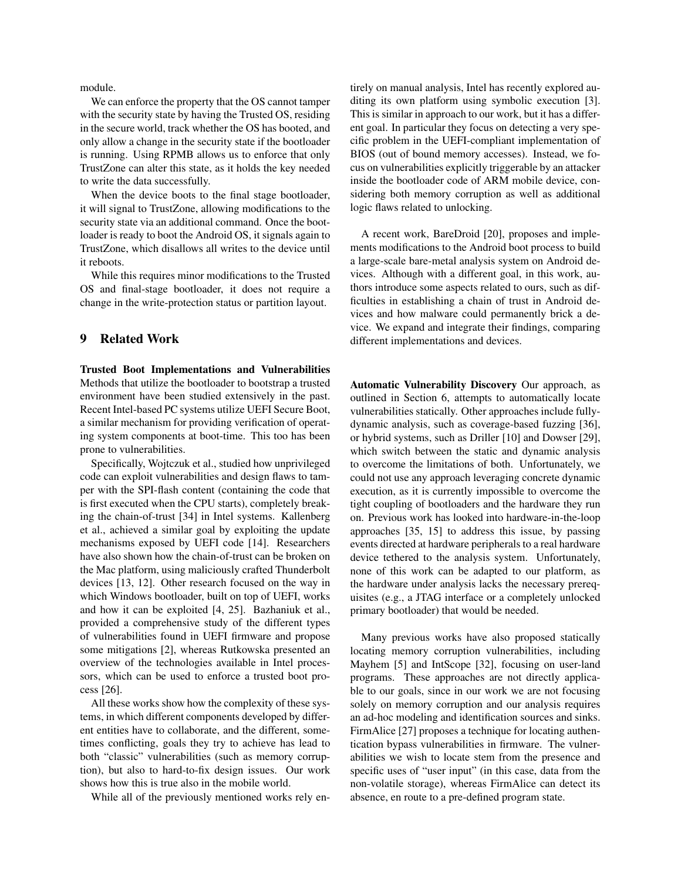module.

We can enforce the property that the OS cannot tamper with the security state by having the Trusted OS, residing in the secure world, track whether the OS has booted, and only allow a change in the security state if the bootloader is running. Using RPMB allows us to enforce that only TrustZone can alter this state, as it holds the key needed to write the data successfully.

When the device boots to the final stage bootloader, it will signal to TrustZone, allowing modifications to the security state via an additional command. Once the bootloader is ready to boot the Android OS, it signals again to TrustZone, which disallows all writes to the device until it reboots.

While this requires minor modifications to the Trusted OS and final-stage bootloader, it does not require a change in the write-protection status or partition layout.

# 9 Related Work

Trusted Boot Implementations and Vulnerabilities Methods that utilize the bootloader to bootstrap a trusted environment have been studied extensively in the past. Recent Intel-based PC systems utilize UEFI Secure Boot, a similar mechanism for providing verification of operating system components at boot-time. This too has been prone to vulnerabilities.

Specifically, Wojtczuk et al., studied how unprivileged code can exploit vulnerabilities and design flaws to tamper with the SPI-flash content (containing the code that is first executed when the CPU starts), completely breaking the chain-of-trust [\[34\]](#page-17-5) in Intel systems. Kallenberg et al., achieved a similar goal by exploiting the update mechanisms exposed by UEFI code [\[14\]](#page-16-16). Researchers have also shown how the chain-of-trust can be broken on the Mac platform, using maliciously crafted Thunderbolt devices [\[13,](#page-16-17) [12\]](#page-16-18). Other research focused on the way in which Windows bootloader, built on top of UEFI, works and how it can be exploited [\[4,](#page-16-19) [25\]](#page-16-20). Bazhaniuk et al., provided a comprehensive study of the different types of vulnerabilities found in UEFI firmware and propose some mitigations [\[2\]](#page-16-21), whereas Rutkowska presented an overview of the technologies available in Intel processors, which can be used to enforce a trusted boot process [\[26\]](#page-16-22).

All these works show how the complexity of these systems, in which different components developed by different entities have to collaborate, and the different, sometimes conflicting, goals they try to achieve has lead to both "classic" vulnerabilities (such as memory corruption), but also to hard-to-fix design issues. Our work shows how this is true also in the mobile world.

While all of the previously mentioned works rely en-

tirely on manual analysis, Intel has recently explored auditing its own platform using symbolic execution [\[3\]](#page-16-23). This is similar in approach to our work, but it has a different goal. In particular they focus on detecting a very specific problem in the UEFI-compliant implementation of BIOS (out of bound memory accesses). Instead, we focus on vulnerabilities explicitly triggerable by an attacker inside the bootloader code of ARM mobile device, considering both memory corruption as well as additional logic flaws related to unlocking.

A recent work, BareDroid [\[20\]](#page-16-7), proposes and implements modifications to the Android boot process to build a large-scale bare-metal analysis system on Android devices. Although with a different goal, in this work, authors introduce some aspects related to ours, such as difficulties in establishing a chain of trust in Android devices and how malware could permanently brick a device. We expand and integrate their findings, comparing different implementations and devices.

Automatic Vulnerability Discovery Our approach, as outlined in Section [6,](#page-6-0) attempts to automatically locate vulnerabilities statically. Other approaches include fullydynamic analysis, such as coverage-based fuzzing [\[36\]](#page-17-6), or hybrid systems, such as Driller [\[10\]](#page-16-24) and Dowser [\[29\]](#page-17-7), which switch between the static and dynamic analysis to overcome the limitations of both. Unfortunately, we could not use any approach leveraging concrete dynamic execution, as it is currently impossible to overcome the tight coupling of bootloaders and the hardware they run on. Previous work has looked into hardware-in-the-loop approaches [\[35,](#page-17-8) [15\]](#page-16-25) to address this issue, by passing events directed at hardware peripherals to a real hardware device tethered to the analysis system. Unfortunately, none of this work can be adapted to our platform, as the hardware under analysis lacks the necessary prerequisites (e.g., a JTAG interface or a completely unlocked primary bootloader) that would be needed.

Many previous works have also proposed statically locating memory corruption vulnerabilities, including Mayhem [\[5\]](#page-16-11) and IntScope [\[32\]](#page-17-9), focusing on user-land programs. These approaches are not directly applicable to our goals, since in our work we are not focusing solely on memory corruption and our analysis requires an ad-hoc modeling and identification sources and sinks. FirmAlice [\[27\]](#page-17-2) proposes a technique for locating authentication bypass vulnerabilities in firmware. The vulnerabilities we wish to locate stem from the presence and specific uses of "user input" (in this case, data from the non-volatile storage), whereas FirmAlice can detect its absence, en route to a pre-defined program state.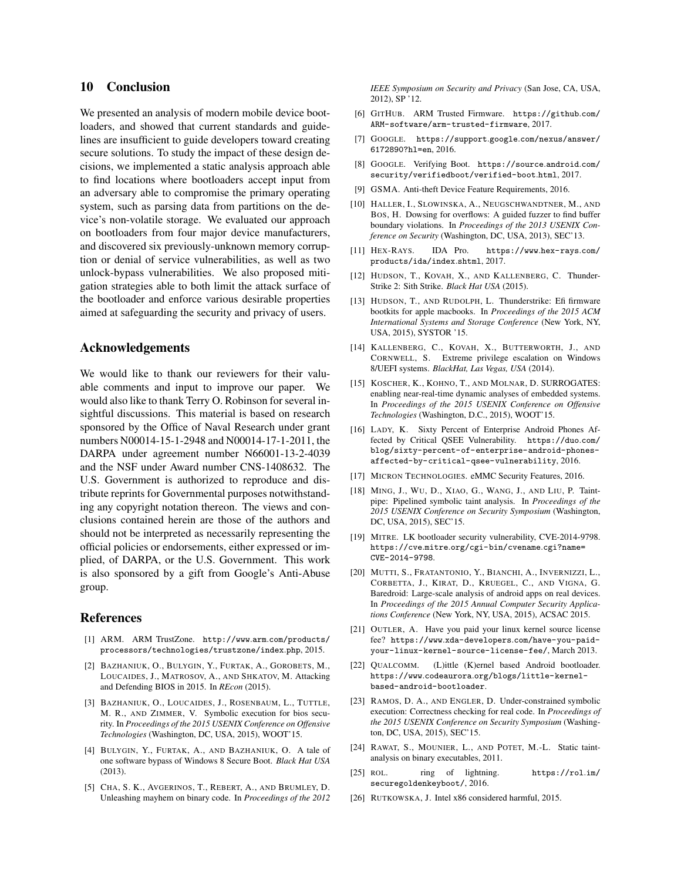# 10 Conclusion

We presented an analysis of modern mobile device bootloaders, and showed that current standards and guidelines are insufficient to guide developers toward creating secure solutions. To study the impact of these design decisions, we implemented a static analysis approach able to find locations where bootloaders accept input from an adversary able to compromise the primary operating system, such as parsing data from partitions on the device's non-volatile storage. We evaluated our approach on bootloaders from four major device manufacturers, and discovered six previously-unknown memory corruption or denial of service vulnerabilities, as well as two unlock-bypass vulnerabilities. We also proposed mitigation strategies able to both limit the attack surface of the bootloader and enforce various desirable properties aimed at safeguarding the security and privacy of users.

# Acknowledgements

We would like to thank our reviewers for their valuable comments and input to improve our paper. We would also like to thank Terry O. Robinson for several insightful discussions. This material is based on research sponsored by the Office of Naval Research under grant numbers N00014-15-1-2948 and N00014-17-1-2011, the DARPA under agreement number N66001-13-2-4039 and the NSF under Award number CNS-1408632. The U.S. Government is authorized to reproduce and distribute reprints for Governmental purposes notwithstanding any copyright notation thereon. The views and conclusions contained herein are those of the authors and should not be interpreted as necessarily representing the official policies or endorsements, either expressed or implied, of DARPA, or the U.S. Government. This work is also sponsored by a gift from Google's Anti-Abuse group.

### References

- <span id="page-16-3"></span>[1] ARM. ARM TrustZone. http://www.arm.[com/products/](http://www.arm.com/products/processors/technologies/trustzone/index.php) [processors/technologies/trustzone/index](http://www.arm.com/products/processors/technologies/trustzone/index.php).php, 2015.
- <span id="page-16-21"></span>[2] BAZHANIUK, O., BULYGIN, Y., FURTAK, A., GOROBETS, M., LOUCAIDES, J., MATROSOV, A., AND SHKATOV, M. Attacking and Defending BIOS in 2015. In *REcon* (2015).
- <span id="page-16-23"></span>[3] BAZHANIUK, O., LOUCAIDES, J., ROSENBAUM, L., TUTTLE, M. R., AND ZIMMER, V. Symbolic execution for bios security. In *Proceedings of the 2015 USENIX Conference on Offensive Technologies* (Washington, DC, USA, 2015), WOOT'15.
- <span id="page-16-19"></span>[4] BULYGIN, Y., FURTAK, A., AND BAZHANIUK, O. A tale of one software bypass of Windows 8 Secure Boot. *Black Hat USA* (2013).
- <span id="page-16-11"></span>[5] CHA, S. K., AVGERINOS, T., REBERT, A., AND BRUMLEY, D. Unleashing mayhem on binary code. In *Proceedings of the 2012*

*IEEE Symposium on Security and Privacy* (San Jose, CA, USA, 2012), SP '12.

- <span id="page-16-0"></span>[6] GITHUB. ARM Trusted Firmware. [https://github](https://github.com/ARM-software/arm-trusted-firmware).com/ [ARM-software/arm-trusted-firmware](https://github.com/ARM-software/arm-trusted-firmware), 2017.
- <span id="page-16-6"></span>[7] GOOGLE. https://support.google.[com/nexus/answer/](https://support.google.com/nexus/answer/6172890?hl=en) [6172890?hl=en](https://support.google.com/nexus/answer/6172890?hl=en), 2016.
- <span id="page-16-1"></span>[8] GOOGLE. Verifying Boot. [https://source](https://source.android.com/security/verifiedboot/verified-boot.html).android.com/ [security/verifiedboot/verified-boot](https://source.android.com/security/verifiedboot/verified-boot.html).html, 2017.
- <span id="page-16-5"></span>[9] GSMA. Anti-theft Device Feature Requirements, 2016.
- <span id="page-16-24"></span>[10] HALLER, I., SLOWINSKA, A., NEUGSCHWANDTNER, M., AND BOS, H. Dowsing for overflows: A guided fuzzer to find buffer boundary violations. In *Proceedings of the 2013 USENIX Conference on Security* (Washington, DC, USA, 2013), SEC'13.
- <span id="page-16-12"></span>[11] HEX-RAYS. IDA Pro. [https://www](https://www.hex-rays.com/products/ida/index.shtml).hex-rays.com/ [products/ida/index](https://www.hex-rays.com/products/ida/index.shtml).shtml, 2017.
- <span id="page-16-18"></span>[12] HUDSON, T., KOVAH, X., AND KALLENBERG, C. Thunder-Strike 2: Sith Strike. *Black Hat USA* (2015).
- <span id="page-16-17"></span>[13] HUDSON, T., AND RUDOLPH, L. Thunderstrike: Efi firmware bootkits for apple macbooks. In *Proceedings of the 2015 ACM International Systems and Storage Conference* (New York, NY, USA, 2015), SYSTOR '15.
- <span id="page-16-16"></span>[14] KALLENBERG, C., KOVAH, X., BUTTERWORTH, J., AND CORNWELL, S. Extreme privilege escalation on Windows 8/UEFI systems. *BlackHat, Las Vegas, USA* (2014).
- <span id="page-16-25"></span>[15] KOSCHER, K., KOHNO, T., AND MOLNAR, D. SURROGATES: enabling near-real-time dynamic analyses of embedded systems. In *Proceedings of the 2015 USENIX Conference on Offensive Technologies* (Washington, D.C., 2015), WOOT'15.
- <span id="page-16-4"></span>[16] LADY, K. Sixty Percent of Enterprise Android Phones Affected by Critical QSEE Vulnerability. [https://duo](https://duo.com/blog/sixty-percent-of-enterprise-android-phones-affected-by-critical-qsee-vulnerability).com/ [blog/sixty-percent-of-enterprise-android-phones](https://duo.com/blog/sixty-percent-of-enterprise-android-phones-affected-by-critical-qsee-vulnerability)[affected-by-critical-qsee-vulnerability](https://duo.com/blog/sixty-percent-of-enterprise-android-phones-affected-by-critical-qsee-vulnerability), 2016.
- <span id="page-16-15"></span>[17] MICRON TECHNOLOGIES. eMMC Security Features, 2016.
- <span id="page-16-10"></span>[18] MING, J., WU, D., XIAO, G., WANG, J., AND LIU, P. Taintpipe: Pipelined symbolic taint analysis. In *Proceedings of the 2015 USENIX Conference on Security Symposium* (Washington, DC, USA, 2015), SEC'15.
- <span id="page-16-13"></span>[19] MITRE. LK bootloader security vulnerability, CVE-2014-9798. https://cve.mitre.[org/cgi-bin/cvename](https://cve.mitre.org/cgi-bin/cvename.cgi?name=CVE-2014-9798).cgi?name= [CVE-2014-9798](https://cve.mitre.org/cgi-bin/cvename.cgi?name=CVE-2014-9798).
- <span id="page-16-7"></span>[20] MUTTI, S., FRATANTONIO, Y., BIANCHI, A., INVERNIZZI, L., CORBETTA, J., KIRAT, D., KRUEGEL, C., AND VIGNA, G. Baredroid: Large-scale analysis of android apps on real devices. In *Proceedings of the 2015 Annual Computer Security Applications Conference* (New York, NY, USA, 2015), ACSAC 2015.
- <span id="page-16-2"></span>[21] OUTLER, A. Have you paid your linux kernel source license fee? https://www.xda-developers.[com/have-you-paid](https://www.xda-developers.com/have-you-paid-your-linux-kernel-source-license-fee/)[your-linux-kernel-source-license-fee/](https://www.xda-developers.com/have-you-paid-your-linux-kernel-source-license-fee/), March 2013.
- <span id="page-16-14"></span>[22] QUALCOMM. (L)ittle (K)ernel based Android bootloader. https://www.codeaurora.[org/blogs/little-kernel](https://www.codeaurora.org/blogs/little-kernel-based-android-bootloader)[based-android-bootloader](https://www.codeaurora.org/blogs/little-kernel-based-android-bootloader).
- <span id="page-16-9"></span>[23] RAMOS, D. A., AND ENGLER, D. Under-constrained symbolic execution: Correctness checking for real code. In *Proceedings of the 2015 USENIX Conference on Security Symposium* (Washington, DC, USA, 2015), SEC'15.
- <span id="page-16-8"></span>[24] RAWAT, S., MOUNIER, L., AND POTET, M.-L. Static taintanalysis on binary executables, 2011.
- <span id="page-16-20"></span>[25] ROL. ring of lightning. [https://rol](https://rol.im/securegoldenkeyboot/).im/ [securegoldenkeyboot/](https://rol.im/securegoldenkeyboot/), 2016.
- <span id="page-16-22"></span>[26] RUTKOWSKA, J. Intel x86 considered harmful, 2015.